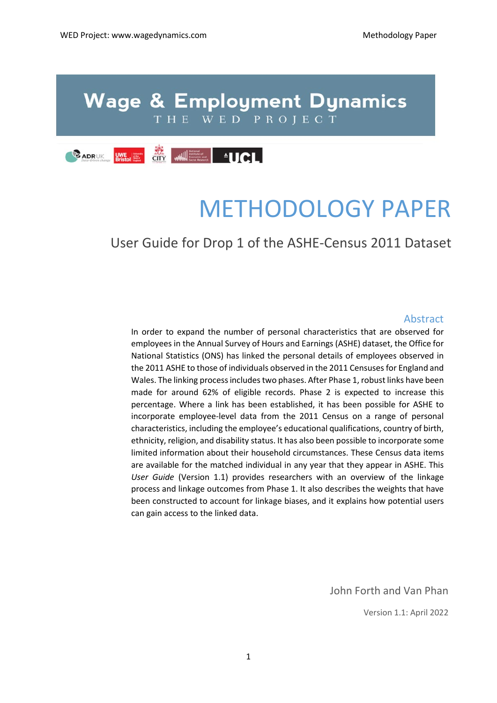# **Wage & Employment Dynamics** THE WED PROJECT



# METHODOLOGY PAPER

# User Guide for Drop 1 of the ASHE-Census 2011 Dataset

#### Abstract

In order to expand the number of personal characteristics that are observed for employees in the Annual Survey of Hours and Earnings (ASHE) dataset, the Office for National Statistics (ONS) has linked the personal details of employees observed in the 2011 ASHE to those of individuals observed in the 2011 Censuses for England and Wales. The linking process includes two phases. After Phase 1, robust links have been made for around 62% of eligible records. Phase 2 is expected to increase this percentage. Where a link has been established, it has been possible for ASHE to incorporate employee-level data from the 2011 Census on a range of personal characteristics, including the employee's educational qualifications, country of birth, ethnicity, religion, and disability status. It has also been possible to incorporate some limited information about their household circumstances. These Census data items are available for the matched individual in any year that they appear in ASHE. This *User Guide* (Version 1.1) provides researchers with an overview of the linkage process and linkage outcomes from Phase 1. It also describes the weights that have been constructed to account for linkage biases, and it explains how potential users can gain access to the linked data.

John Forth and Van Phan

Version 1.1: April 2022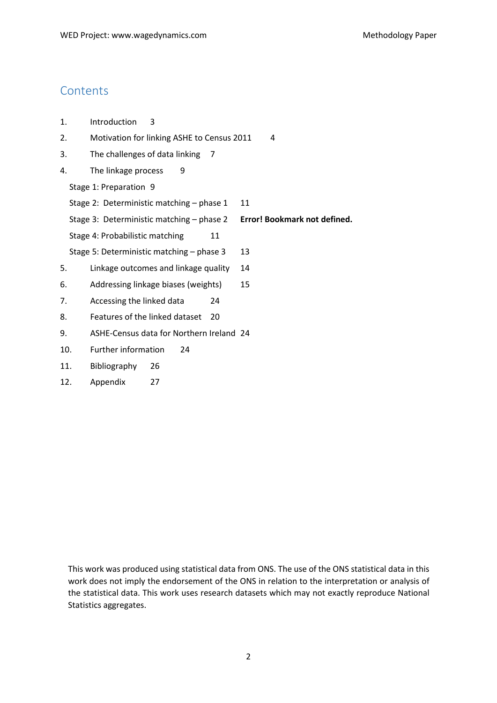### **Contents**

- 1. [Introduction](#page-2-0) 3
- 2. [Motivation for linking ASHE to Census 2011](#page-3-0) 4
- 3. [The challenges of data linking](#page-6-0) 7
- 4. [The linkage process](#page-8-0) 9

[Stage 1: Preparation](#page-8-1) 9

Stage 2: Deterministic matching - phase 1 11

Stage 3: Deterministic matching – phase 2 **Error! Bookmark not defined.**

[Stage 4: Probabilistic matching](#page-10-1) 11

- [Stage 5: Deterministic matching –](#page-12-0) phase 3 13
- 5. [Linkage outcomes and linkage quality](#page-13-0) 14
- 6. [Addressing linkage biases \(weights\)](#page-14-0) 15
- 7. [Accessing the linked data](#page-23-0) 24
- 8. [Features of the linked dataset](#page-19-0) 20
- 9. [ASHE-Census data for Northern Ireland](#page-23-1) 24
- 10. [Further information](#page-23-1) 24
- 11. [Bibliography](#page-24-0) 26
- 12. [Appendix](#page-26-0) 27

This work was produced using statistical data from ONS. The use of the ONS statistical data in this work does not imply the endorsement of the ONS in relation to the interpretation or analysis of the statistical data. This work uses research datasets which may not exactly reproduce National Statistics aggregates.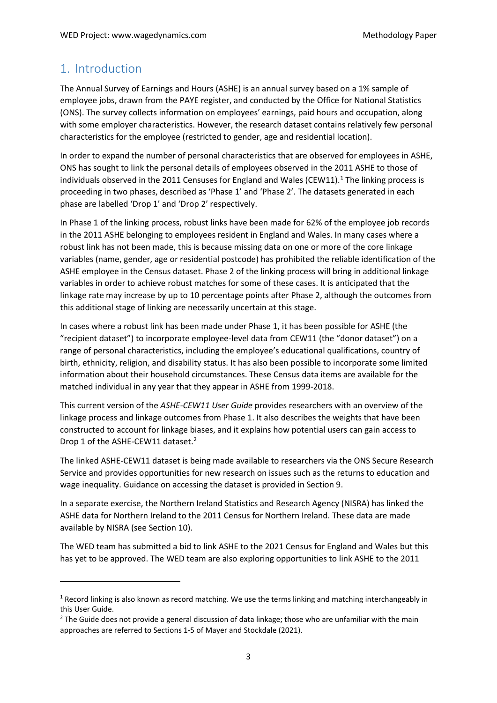# <span id="page-2-0"></span>1. Introduction

**.** 

The Annual Survey of Earnings and Hours (ASHE) is an annual survey based on a 1% sample of employee jobs, drawn from the PAYE register, and conducted by the Office for National Statistics (ONS). The survey collects information on employees' earnings, paid hours and occupation, along with some employer characteristics. However, the research dataset contains relatively few personal characteristics for the employee (restricted to gender, age and residential location).

In order to expand the number of personal characteristics that are observed for employees in ASHE, ONS has sought to link the personal details of employees observed in the 2011 ASHE to those of individuals observed in the 20[1](#page-2-1)1 Censuses for England and Wales (CEW11). $<sup>1</sup>$  The linking process is</sup> proceeding in two phases, described as 'Phase 1' and 'Phase 2'. The datasets generated in each phase are labelled 'Drop 1' and 'Drop 2' respectively.

In Phase 1 of the linking process, robust links have been made for 62% of the employee job records in the 2011 ASHE belonging to employees resident in England and Wales. In many cases where a robust link has not been made, this is because missing data on one or more of the core linkage variables (name, gender, age or residential postcode) has prohibited the reliable identification of the ASHE employee in the Census dataset. Phase 2 of the linking process will bring in additional linkage variables in order to achieve robust matches for some of these cases. It is anticipated that the linkage rate may increase by up to 10 percentage points after Phase 2, although the outcomes from this additional stage of linking are necessarily uncertain at this stage.

In cases where a robust link has been made under Phase 1, it has been possible for ASHE (the "recipient dataset") to incorporate employee-level data from CEW11 (the "donor dataset") on a range of personal characteristics, including the employee's educational qualifications, country of birth, ethnicity, religion, and disability status. It has also been possible to incorporate some limited information about their household circumstances. These Census data items are available for the matched individual in any year that they appear in ASHE from 1999-2018.

This current version of the *ASHE-CEW11 User Guide* provides researchers with an overview of the linkage process and linkage outcomes from Phase 1. It also describes the weights that have been constructed to account for linkage biases, and it explains how potential users can gain access to Drop 1 of the ASHE-CEW11 dataset.<sup>[2](#page-2-2)</sup>

The linked ASHE-CEW11 dataset is being made available to researchers via the ONS Secure Research Service and provides opportunities for new research on issues such as the returns to education and wage inequality. Guidance on accessing the dataset is provided in Sectio[n 9.](#page-23-1)

In a separate exercise, the Northern Ireland Statistics and Research Agency (NISRA) has linked the ASHE data for Northern Ireland to the 2011 Census for Northern Ireland. These data are made available by NISRA (see Section [10\)](#page-23-2).

The WED team has submitted a bid to link ASHE to the 2021 Census for England and Wales but this has yet to be approved. The WED team are also exploring opportunities to link ASHE to the 2011

<span id="page-2-1"></span> $1$  Record linking is also known as record matching. We use the terms linking and matching interchangeably in this User Guide.

<span id="page-2-2"></span><sup>&</sup>lt;sup>2</sup> The Guide does not provide a general discussion of data linkage; those who are unfamiliar with the main approaches are referred to Sections 1-5 of Mayer and Stockdale (2021).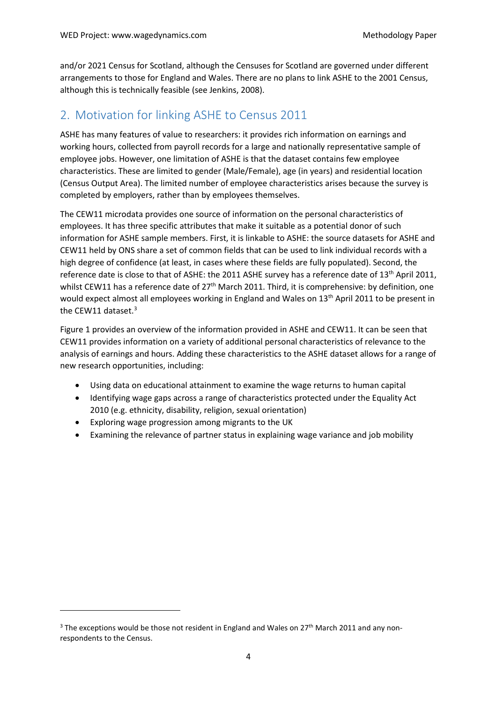and/or 2021 Census for Scotland, although the Censuses for Scotland are governed under different arrangements to those for England and Wales. There are no plans to link ASHE to the 2001 Census, although this is technically feasible (see Jenkins, 2008).

### <span id="page-3-0"></span>2. Motivation for linking ASHE to Census 2011

ASHE has many features of value to researchers: it provides rich information on earnings and working hours, collected from payroll records for a large and nationally representative sample of employee jobs. However, one limitation of ASHE is that the dataset contains few employee characteristics. These are limited to gender (Male/Female), age (in years) and residential location (Census Output Area). The limited number of employee characteristics arises because the survey is completed by employers, rather than by employees themselves.

The CEW11 microdata provides one source of information on the personal characteristics of employees. It has three specific attributes that make it suitable as a potential donor of such information for ASHE sample members. First, it is linkable to ASHE: the source datasets for ASHE and CEW11 held by ONS share a set of common fields that can be used to link individual records with a high degree of confidence (at least, in cases where these fields are fully populated). Second, the reference date is close to that of ASHE: the 2011 ASHE survey has a reference date of 13<sup>th</sup> April 2011, whilst CEW11 has a reference date of 27<sup>th</sup> March 2011. Third, it is comprehensive: by definition, one would expect almost all employees working in England and Wales on 13<sup>th</sup> April 2011 to be present in the CEW11 dataset.<sup>[3](#page-3-1)</sup>

Figure 1 provides an overview of the information provided in ASHE and CEW11. It can be seen that CEW11 provides information on a variety of additional personal characteristics of relevance to the analysis of earnings and hours. Adding these characteristics to the ASHE dataset allows for a range of new research opportunities, including:

- Using data on educational attainment to examine the wage returns to human capital
- Identifying wage gaps across a range of characteristics protected under the Equality Act 2010 (e.g. ethnicity, disability, religion, sexual orientation)
- Exploring wage progression among migrants to the UK

 $\overline{a}$ 

• Examining the relevance of partner status in explaining wage variance and job mobility

<span id="page-3-1"></span> $3$  The exceptions would be those not resident in England and Wales on 27<sup>th</sup> March 2011 and any nonrespondents to the Census.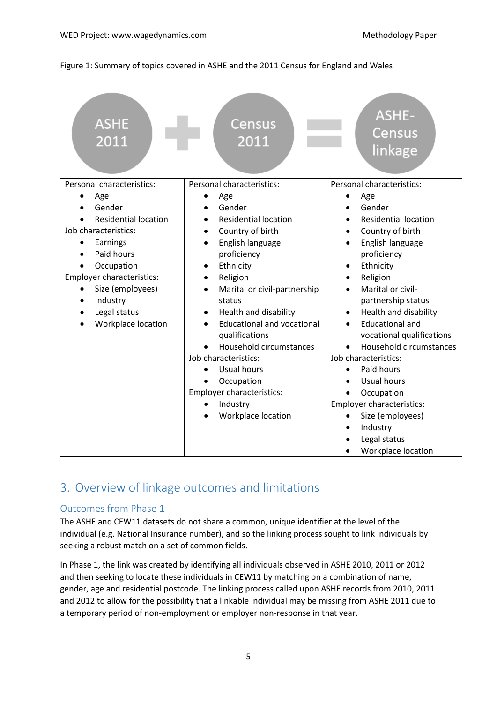#### Figure 1: Summary of topics covered in ASHE and the 2011 Census for England and Wales

| <b>ASHE</b><br>2011           | Census<br>2011                                 | <b>ASHE-</b><br><b>Census</b><br>linkage |
|-------------------------------|------------------------------------------------|------------------------------------------|
| Personal characteristics:     | Personal characteristics:                      | Personal characteristics:                |
| Age<br>Gender                 | Age<br>Gender                                  | Age<br>Gender                            |
| <b>Residential location</b>   | <b>Residential location</b><br>$\bullet$       | <b>Residential location</b><br>$\bullet$ |
| Job characteristics:          | Country of birth<br>$\bullet$                  | Country of birth<br>$\bullet$            |
| Earnings<br>$\bullet$         | English language<br>$\bullet$                  | English language<br>$\bullet$            |
| Paid hours                    | proficiency                                    | proficiency                              |
| Occupation                    | Ethnicity<br>٠                                 | Ethnicity<br>$\bullet$                   |
| Employer characteristics:     | Religion<br>$\bullet$                          | Religion<br>$\bullet$                    |
| Size (employees)<br>$\bullet$ | Marital or civil-partnership<br>$\bullet$      | Marital or civil-<br>$\bullet$           |
| Industry                      | status                                         | partnership status                       |
| Legal status                  | Health and disability                          | Health and disability<br>$\bullet$       |
| Workplace location            | <b>Educational and vocational</b><br>$\bullet$ | <b>Educational and</b>                   |
|                               | qualifications                                 | vocational qualifications                |
|                               | Household circumstances                        | Household circumstances                  |
|                               | Job characteristics:                           | Job characteristics:                     |
|                               | Usual hours                                    | Paid hours<br>$\bullet$<br>Usual hours   |
|                               | Occupation<br><b>Employer characteristics:</b> | Occupation                               |
|                               | Industry                                       | Employer characteristics:                |
|                               | Workplace location                             | Size (employees)<br>$\bullet$            |
|                               |                                                | Industry                                 |
|                               |                                                | Legal status                             |
|                               |                                                | <b>Workplace location</b>                |

# 3. Overview of linkage outcomes and limitations

#### Outcomes from Phase 1

The ASHE and CEW11 datasets do not share a common, unique identifier at the level of the individual (e.g. National Insurance number), and so the linking process sought to link individuals by seeking a robust match on a set of common fields.

In Phase 1, the link was created by identifying all individuals observed in ASHE 2010, 2011 or 2012 and then seeking to locate these individuals in CEW11 by matching on a combination of name, gender, age and residential postcode. The linking process called upon ASHE records from 2010, 2011 and 2012 to allow for the possibility that a linkable individual may be missing from ASHE 2011 due to a temporary period of non-employment or employer non-response in that year.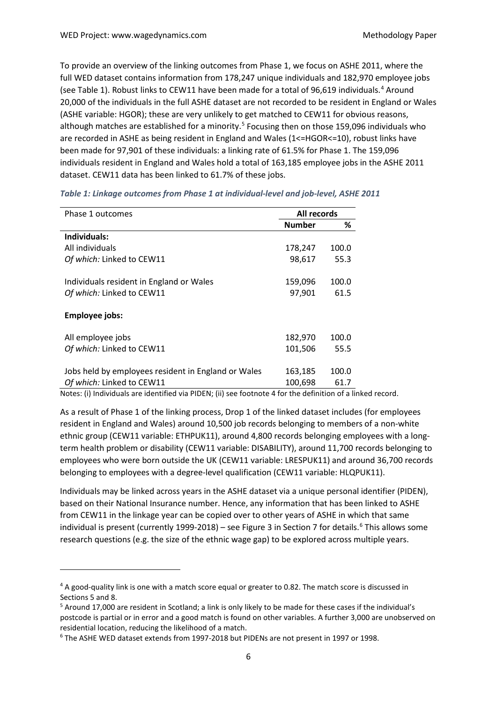<span id="page-5-0"></span>To provide an overview of the linking outcomes from Phase 1, we focus on ASHE 2011, where the full WED dataset contains information from 178,247 unique individuals and 182,970 employee jobs (see Table 1). Robust links to CEW11 have been made for a total of 96,619 individuals. [4](#page-5-1) Around 20,000 of the individuals in the full ASHE dataset are not recorded to be resident in England or Wales (ASHE variable: HGOR); these are very unlikely to get matched to CEW11 for obvious reasons, although matches are established for a minority.<sup>[5](#page-5-2)</sup> Focusing then on those 159,096 individuals who are recorded in ASHE as being resident in England and Wales (1<=HGOR<=10), robust links have been made for 97,901 of these individuals: a linking rate of 61.5% for Phase 1. The 159,096 individuals resident in England and Wales hold a total of 163,185 employee jobs in the ASHE 2011 dataset. CEW11 data has been linked to 61.7% of these jobs.

| Phase 1 outcomes                                    | All records   |       |
|-----------------------------------------------------|---------------|-------|
|                                                     | <b>Number</b> | %     |
| Individuals:                                        |               |       |
| All individuals                                     | 178,247       | 100.0 |
| Of which: Linked to CEW11                           | 98,617        | 55.3  |
| Individuals resident in England or Wales            | 159,096       | 100.0 |
| Of which: Linked to CEW11                           | 97,901        | 61.5  |
| <b>Employee jobs:</b>                               |               |       |
| All employee jobs                                   | 182,970       | 100.0 |
| Of which: Linked to CEW11                           | 101,506       | 55.5  |
| Jobs held by employees resident in England or Wales | 163,185       | 100.0 |
| Of which: Linked to CEW11                           | 100,698       | 61.7  |

<span id="page-5-4"></span>*Table 1: Linkage outcomes from Phase 1 at individual-level and job-level, ASHE 2011*

Notes: (i) Individuals are identified via PIDEN; (ii) see footnote [4](#page-5-0) for the definition of a linked record.

As a result of Phase 1 of the linking process, Drop 1 of the linked dataset includes (for employees resident in England and Wales) around 10,500 job records belonging to members of a non-white ethnic group (CEW11 variable: ETHPUK11), around 4,800 records belonging employees with a longterm health problem or disability (CEW11 variable: DISABILITY), around 11,700 records belonging to employees who were born outside the UK (CEW11 variable: LRESPUK11) and around 36,700 records belonging to employees with a degree-level qualification (CEW11 variable: HLQPUK11).

Individuals may be linked across years in the ASHE dataset via a unique personal identifier (PIDEN), based on their National Insurance number. Hence, any information that has been linked to ASHE from CEW11 in the linkage year can be copied over to other years of ASHE in which that same individual is present (currently 1999-2018) – see [Figure 3](#page-18-0) in Section 7 for details. [6](#page-5-3) This allows some research questions (e.g. the size of the ethnic wage gap) to be explored across multiple years.

<u>.</u>

<span id="page-5-1"></span><sup>4</sup> A good-quality link is one with a match score equal or greater to 0.82. The match score is discussed in Sections 5 and [8.](#page-18-1)<br><sup>5</sup> Around 17,000 are resident in Scotland; a link is only likely to be made for these cases if the individual's

<span id="page-5-2"></span>postcode is partial or in error and a good match is found on other variables. A further 3,000 are unobserved on residential location, reducing the likelihood of a match.

<span id="page-5-3"></span><sup>6</sup> The ASHE WED dataset extends from 1997-2018 but PIDENs are not present in 1997 or 1998.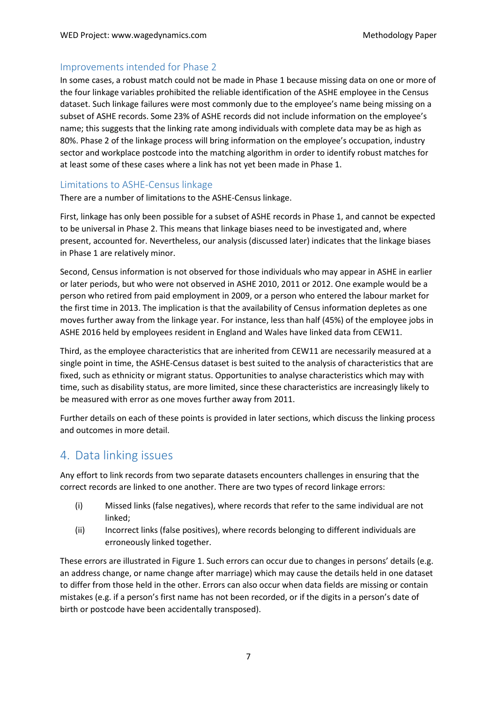#### Improvements intended for Phase 2

In some cases, a robust match could not be made in Phase 1 because missing data on one or more of the four linkage variables prohibited the reliable identification of the ASHE employee in the Census dataset. Such linkage failures were most commonly due to the employee's name being missing on a subset of ASHE records. Some 23% of ASHE records did not include information on the employee's name; this suggests that the linking rate among individuals with complete data may be as high as 80%. Phase 2 of the linkage process will bring information on the employee's occupation, industry sector and workplace postcode into the matching algorithm in order to identify robust matches for at least some of these cases where a link has not yet been made in Phase 1.

#### Limitations to ASHE-Census linkage

There are a number of limitations to the ASHE-Census linkage.

First, linkage has only been possible for a subset of ASHE records in Phase 1, and cannot be expected to be universal in Phase 2. This means that linkage biases need to be investigated and, where present, accounted for. Nevertheless, our analysis (discussed later) indicates that the linkage biases in Phase 1 are relatively minor.

Second, Census information is not observed for those individuals who may appear in ASHE in earlier or later periods, but who were not observed in ASHE 2010, 2011 or 2012. One example would be a person who retired from paid employment in 2009, or a person who entered the labour market for the first time in 2013. The implication is that the availability of Census information depletes as one moves further away from the linkage year. For instance, less than half (45%) of the employee jobs in ASHE 2016 held by employees resident in England and Wales have linked data from CEW11.

Third, as the employee characteristics that are inherited from CEW11 are necessarily measured at a single point in time, the ASHE-Census dataset is best suited to the analysis of characteristics that are fixed, such as ethnicity or migrant status. Opportunities to analyse characteristics which may with time, such as disability status, are more limited, since these characteristics are increasingly likely to be measured with error as one moves further away from 2011.

Further details on each of these points is provided in later sections, which discuss the linking process and outcomes in more detail.

# <span id="page-6-0"></span>4. Data linking issues

Any effort to link records from two separate datasets encounters challenges in ensuring that the correct records are linked to one another. There are two types of record linkage errors:

- (i) Missed links (false negatives), where records that refer to the same individual are not linked;
- (ii) Incorrect links (false positives), where records belonging to different individuals are erroneously linked together.

These errors are illustrated in Figure 1. Such errors can occur due to changes in persons' details (e.g. an address change, or name change after marriage) which may cause the details held in one dataset to differ from those held in the other. Errors can also occur when data fields are missing or contain mistakes (e.g. if a person's first name has not been recorded, or if the digits in a person's date of birth or postcode have been accidentally transposed).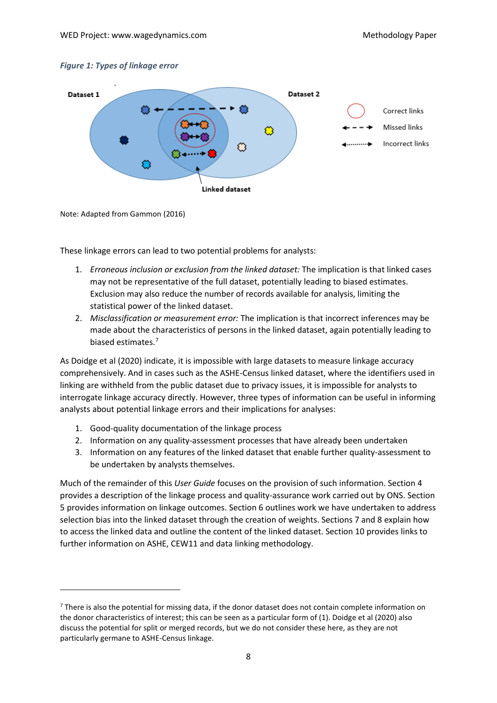#### *Figure 1: Types of linkage error*



Note: Adapted from Gammon (2016)

 $\overline{a}$ 

These linkage errors can lead to two potential problems for analysts:

- 1. *Erroneous inclusion or exclusion from the linked dataset:* The implication is that linked cases may not be representative of the full dataset, potentially leading to biased estimates. Exclusion may also reduce the number of records available for analysis, limiting the statistical power of the linked dataset.
- 2. *Misclassification or measurement error:* The implication is that incorrect inferences may be made about the characteristics of persons in the linked dataset, again potentially leading to biased estimates. [7](#page-7-0)

As Doidge et al (2020) indicate, it is impossible with large datasets to measure linkage accuracy comprehensively. And in cases such as the ASHE-Census linked dataset, where the identifiers used in linking are withheld from the public dataset due to privacy issues, it is impossible for analysts to interrogate linkage accuracy directly. However, three types of information can be useful in informing analysts about potential linkage errors and their implications for analyses:

- 1. Good-quality documentation of the linkage process
- 2. Information on any quality-assessment processes that have already been undertaken
- 3. Information on any features of the linked dataset that enable further quality-assessment to be undertaken by analysts themselves.

Much of the remainder of this *User Guide* focuses on the provision of such information. Section [4](#page-8-0) provides a description of the linkage process and quality-assurance work carried out by ONS. Section [5](#page-13-0) provides information on linkage outcomes. Section [6](#page-14-0) outlines work we have undertaken to address selection bias into the linked dataset through the creation of weights. Sections 7 and [8](#page-19-0) explain how to access the linked data and outline the content of the linked dataset. Sectio[n 10](#page-23-1) provides links to further information on ASHE, CEW11 and data linking methodology.

<span id="page-7-0"></span><sup>&</sup>lt;sup>7</sup> There is also the potential for missing data, if the donor dataset does not contain complete information on the donor characteristics of interest; this can be seen as a particular form of (1). Doidge et al (2020) also discuss the potential for split or merged records, but we do not consider these here, as they are not particularly germane to ASHE-Census linkage.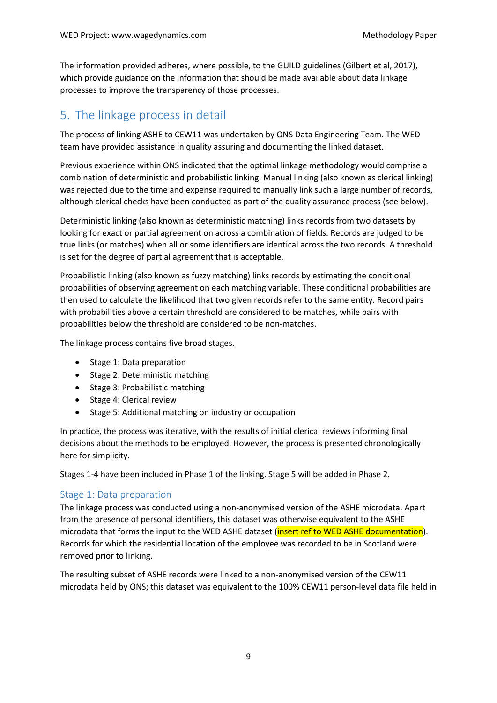The information provided adheres, where possible, to the GUILD guidelines (Gilbert et al, 2017), which provide guidance on the information that should be made available about data linkage processes to improve the transparency of those processes.

# <span id="page-8-0"></span>5. The linkage process in detail

The process of linking ASHE to CEW11 was undertaken by ONS Data Engineering Team. The WED team have provided assistance in quality assuring and documenting the linked dataset.

Previous experience within ONS indicated that the optimal linkage methodology would comprise a combination of deterministic and probabilistic linking. Manual linking (also known as clerical linking) was rejected due to the time and expense required to manually link such a large number of records, although clerical checks have been conducted as part of the quality assurance process (see below).

Deterministic linking (also known as deterministic matching) links records from two datasets by looking for exact or partial agreement on across a combination of fields. Records are judged to be true links (or matches) when all or some identifiers are identical across the two records. A threshold is set for the degree of partial agreement that is acceptable.

Probabilistic linking (also known as fuzzy matching) links records by estimating the conditional probabilities of observing agreement on each matching variable. These conditional probabilities are then used to calculate the likelihood that two given records refer to the same entity. Record pairs with probabilities above a certain threshold are considered to be matches, while pairs with probabilities below the threshold are considered to be non-matches.

The linkage process contains five broad stages.

- Stage 1: Data preparation
- Stage 2: Deterministic matching
- Stage 3: Probabilistic matching
- Stage 4: Clerical review
- Stage 5: Additional matching on industry or occupation

In practice, the process was iterative, with the results of initial clerical reviews informing final decisions about the methods to be employed. However, the process is presented chronologically here for simplicity.

Stages 1-4 have been included in Phase 1 of the linking. Stage 5 will be added in Phase 2.

#### <span id="page-8-1"></span>Stage 1: Data preparation

The linkage process was conducted using a non-anonymised version of the ASHE microdata. Apart from the presence of personal identifiers, this dataset was otherwise equivalent to the ASHE microdata that forms the input to the WED ASHE dataset (insert ref to WED ASHE documentation). Records for which the residential location of the employee was recorded to be in Scotland were removed prior to linking.

The resulting subset of ASHE records were linked to a non-anonymised version of the CEW11 microdata held by ONS; this dataset was equivalent to the 100% CEW11 person-level data file held in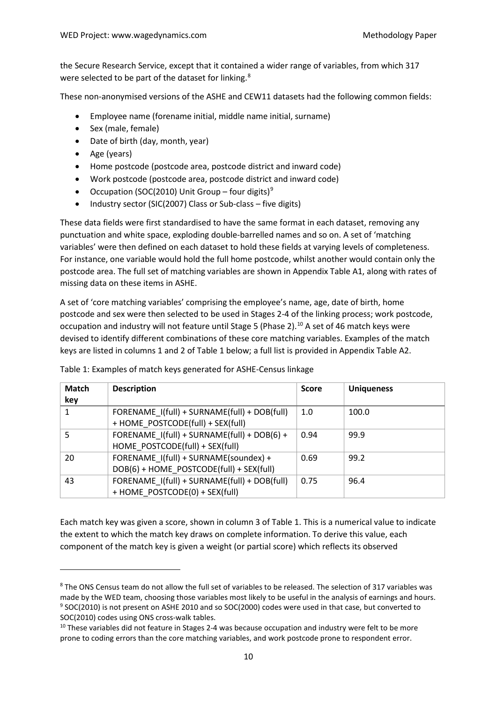the Secure Research Service, except that it contained a wider range of variables, from which 317 were selected to be part of the dataset for linking.<sup>[8](#page-9-0)</sup>

These non-anonymised versions of the ASHE and CEW11 datasets had the following common fields:

- Employee name (forename initial, middle name initial, surname)
- Sex (male, female)
- Date of birth (day, month, year)
- Age (years)

<u>.</u>

- Home postcode (postcode area, postcode district and inward code)
- Work postcode (postcode area, postcode district and inward code)
- Occupation (SOC(2010) Unit Group four digits)<sup>[9](#page-9-1)</sup>
- Industry sector (SIC(2007) Class or Sub-class five digits)

These data fields were first standardised to have the same format in each dataset, removing any punctuation and white space, exploding double-barrelled names and so on. A set of 'matching variables' were then defined on each dataset to hold these fields at varying levels of completeness. For instance, one variable would hold the full home postcode, whilst another would contain only the postcode area. The full set of matching variables are shown in Appendix Table A1, along with rates of missing data on these items in ASHE.

A set of 'core matching variables' comprising the employee's name, age, date of birth, home postcode and sex were then selected to be used in Stages 2-4 of the linking process; work postcode, occupation and industry will not feature until Stage 5 (Phase 2). [10](#page-9-2) A set of 46 match keys were devised to identify different combinations of these core matching variables. Examples of the match keys are listed in columns 1 and 2 of Table 1 below; a full list is provided in Appendix Table A2.

| <b>Match</b><br>key | <b>Description</b>                                                                | <b>Score</b> | <b>Uniqueness</b> |
|---------------------|-----------------------------------------------------------------------------------|--------------|-------------------|
| 1                   | FORENAME_I(full) + SURNAME(full) + DOB(full)<br>+ HOME POSTCODE(full) + SEX(full) | 1.0          | 100.0             |
| 5                   | FORENAME I(full) + SURNAME(full) + DOB(6) +<br>HOME POSTCODE(full) + SEX(full)    | 0.94         | 99.9              |
| 20                  | FORENAME I(full) + SURNAME(soundex) +<br>DOB(6) + HOME POSTCODE(full) + SEX(full) | 0.69         | 99.2              |
| 43                  | FORENAME_I(full) + SURNAME(full) + DOB(full)<br>+ HOME POSTCODE(0) + SEX(full)    | 0.75         | 96.4              |

Table 1: Examples of match keys generated for ASHE-Census linkage

Each match key was given a score, shown in column 3 of Table 1. This is a numerical value to indicate the extent to which the match key draws on complete information. To derive this value, each component of the match key is given a weight (or partial score) which reflects its observed

<span id="page-9-0"></span><sup>8</sup> The ONS Census team do not allow the full set of variables to be released. The selection of 317 variables was made by the WED team, choosing those variables most likely to be useful in the analysis of earnings and hours. <sup>9</sup> SOC(2010) is not present on ASHE 2010 and so SOC(2000) codes were used in that case, but converted to SOC(2010) codes using ONS cross-walk tables.<br><sup>10</sup> These variables did not feature in Stages 2-4 was because occupation and industry were felt to be more

<span id="page-9-2"></span><span id="page-9-1"></span>prone to coding errors than the core matching variables, and work postcode prone to respondent error.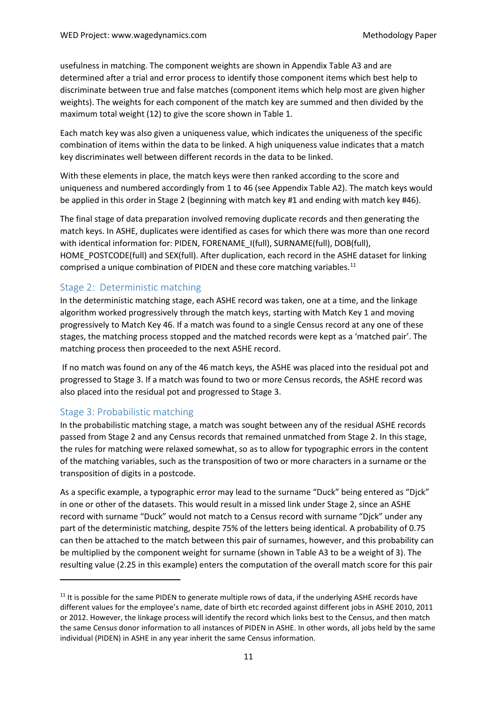usefulness in matching. The component weights are shown in Appendix Table A3 and are determined after a trial and error process to identify those component items which best help to discriminate between true and false matches (component items which help most are given higher weights). The weights for each component of the match key are summed and then divided by the maximum total weight (12) to give the score shown in [Table 1.](#page-5-4)

Each match key was also given a uniqueness value, which indicates the uniqueness of the specific combination of items within the data to be linked. A high uniqueness value indicates that a match key discriminates well between different records in the data to be linked.

With these elements in place, the match keys were then ranked according to the score and uniqueness and numbered accordingly from 1 to 46 (see Appendix Table A2). The match keys would be applied in this order in Stage 2 (beginning with match key #1 and ending with match key #46).

The final stage of data preparation involved removing duplicate records and then generating the match keys. In ASHE, duplicates were identified as cases for which there was more than one record with identical information for: PIDEN, FORENAME\_I(full), SURNAME(full), DOB(full), HOME\_POSTCODE(full) and SEX(full). After duplication, each record in the ASHE dataset for linking comprised a unique combination of PIDEN and these core matching variables.<sup>[11](#page-10-2)</sup>

#### <span id="page-10-0"></span>Stage 2: Deterministic matching

In the deterministic matching stage, each ASHE record was taken, one at a time, and the linkage algorithm worked progressively through the match keys, starting with Match Key 1 and moving progressively to Match Key 46. If a match was found to a single Census record at any one of these stages, the matching process stopped and the matched records were kept as a 'matched pair'. The matching process then proceeded to the next ASHE record.

If no match was found on any of the 46 match keys, the ASHE was placed into the residual pot and progressed to Stage 3. If a match was found to two or more Census records, the ASHE record was also placed into the residual pot and progressed to Stage 3.

#### <span id="page-10-1"></span>Stage 3: Probabilistic matching

**.** 

In the probabilistic matching stage, a match was sought between any of the residual ASHE records passed from Stage 2 and any Census records that remained unmatched from Stage 2. In this stage, the rules for matching were relaxed somewhat, so as to allow for typographic errors in the content of the matching variables, such as the transposition of two or more characters in a surname or the transposition of digits in a postcode.

As a specific example, a typographic error may lead to the surname "Duck" being entered as "Djck" in one or other of the datasets. This would result in a missed link under Stage 2, since an ASHE record with surname "Duck" would not match to a Census record with surname "Djck" under any part of the deterministic matching, despite 75% of the letters being identical. A probability of 0.75 can then be attached to the match between this pair of surnames, however, and this probability can be multiplied by the component weight for surname (shown in Table A3 to be a weight of 3). The resulting value (2.25 in this example) enters the computation of the overall match score for this pair

<span id="page-10-2"></span> $11$  It is possible for the same PIDEN to generate multiple rows of data, if the underlying ASHE records have different values for the employee's name, date of birth etc recorded against different jobs in ASHE 2010, 2011 or 2012. However, the linkage process will identify the record which links best to the Census, and then match the same Census donor information to all instances of PIDEN in ASHE. In other words, all jobs held by the same individual (PIDEN) in ASHE in any year inherit the same Census information.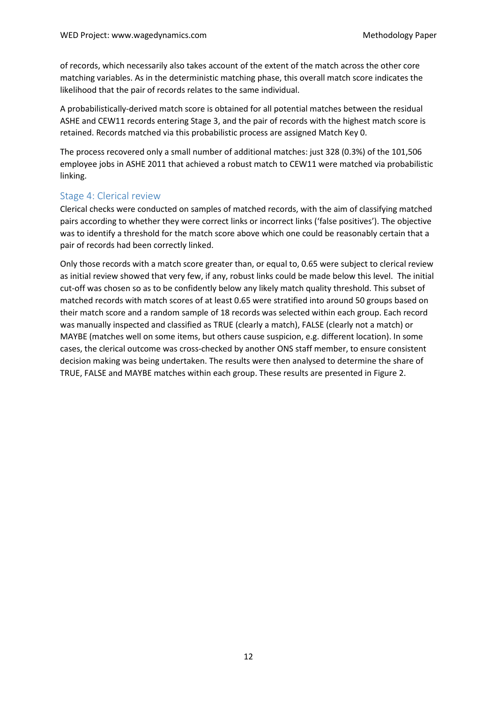of records, which necessarily also takes account of the extent of the match across the other core matching variables. As in the deterministic matching phase, this overall match score indicates the likelihood that the pair of records relates to the same individual.

A probabilistically-derived match score is obtained for all potential matches between the residual ASHE and CEW11 records entering Stage 3, and the pair of records with the highest match score is retained. Records matched via this probabilistic process are assigned Match Key 0.

The process recovered only a small number of additional matches: just 328 (0.3%) of the 101,506 employee jobs in ASHE 2011 that achieved a robust match to CEW11 were matched via probabilistic linking.

#### Stage 4: Clerical review

Clerical checks were conducted on samples of matched records, with the aim of classifying matched pairs according to whether they were correct links or incorrect links ('false positives'). The objective was to identify a threshold for the match score above which one could be reasonably certain that a pair of records had been correctly linked.

Only those records with a match score greater than, or equal to, 0.65 were subject to clerical review as initial review showed that very few, if any, robust links could be made below this level. The initial cut-off was chosen so as to be confidently below any likely match quality threshold. This subset of matched records with match scores of at least 0.65 were stratified into around 50 groups based on their match score and a random sample of 18 records was selected within each group. Each record was manually inspected and classified as TRUE (clearly a match), FALSE (clearly not a match) or MAYBE (matches well on some items, but others cause suspicion, e.g. different location). In some cases, the clerical outcome was cross-checked by another ONS staff member, to ensure consistent decision making was being undertaken. The results were then analysed to determine the share of TRUE, FALSE and MAYBE matches within each group. These results are presented in [Figure 2.](#page-12-1)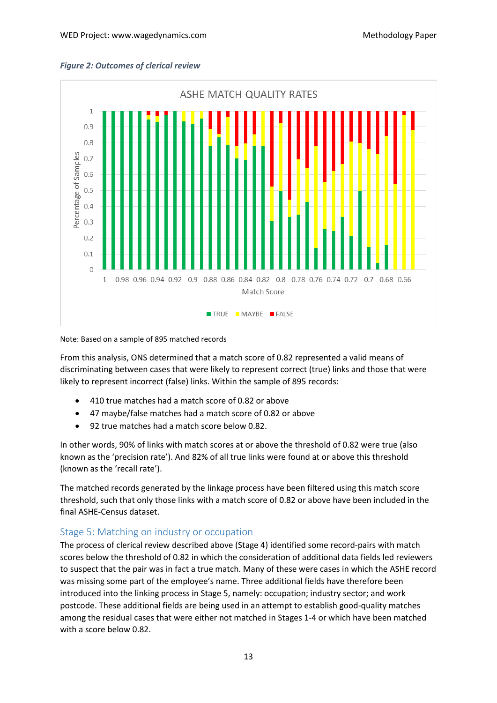<span id="page-12-1"></span>



Note: Based on a sample of 895 matched records

From this analysis, ONS determined that a match score of 0.82 represented a valid means of discriminating between cases that were likely to represent correct (true) links and those that were likely to represent incorrect (false) links. Within the sample of 895 records:

- 410 true matches had a match score of 0.82 or above
- 47 maybe/false matches had a match score of 0.82 or above
- 92 true matches had a match score below 0.82.

In other words, 90% of links with match scores at or above the threshold of 0.82 were true (also known as the 'precision rate'). And 82% of all true links were found at or above this threshold (known as the 'recall rate').

The matched records generated by the linkage process have been filtered using this match score threshold, such that only those links with a match score of 0.82 or above have been included in the final ASHE-Census dataset.

#### <span id="page-12-0"></span>Stage 5: Matching on industry or occupation

The process of clerical review described above (Stage 4) identified some record-pairs with match scores below the threshold of 0.82 in which the consideration of additional data fields led reviewers to suspect that the pair was in fact a true match. Many of these were cases in which the ASHE record was missing some part of the employee's name. Three additional fields have therefore been introduced into the linking process in Stage 5, namely: occupation; industry sector; and work postcode. These additional fields are being used in an attempt to establish good-quality matches among the residual cases that were either not matched in Stages 1-4 or which have been matched with a score below 0.82.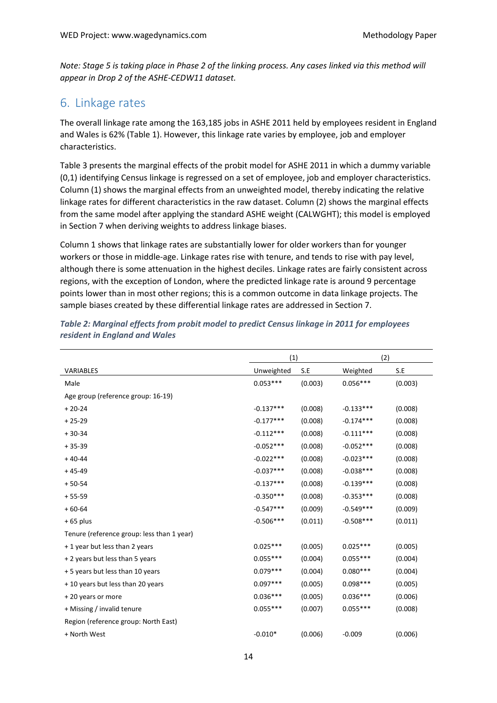*Note: Stage 5 is taking place in Phase 2 of the linking process. Any cases linked via this method will appear in Drop 2 of the ASHE-CEDW11 dataset.* 

### <span id="page-13-0"></span>6. Linkage rates

The overall linkage rate among the 163,185 jobs in ASHE 2011 held by employees resident in England and Wales is 62% [\(Table 1\)](#page-5-4). However, this linkage rate varies by employee, job and employer characteristics.

[Table 3](#page-13-1) presents the marginal effects of the probit model for ASHE 2011 in which a dummy variable (0,1) identifying Census linkage is regressed on a set of employee, job and employer characteristics. Column (1) shows the marginal effects from an unweighted model, thereby indicating the relative linkage rates for different characteristics in the raw dataset. Column (2) shows the marginal effects from the same model after applying the standard ASHE weight (CALWGHT); this model is employed in Section [7](#page-14-0) when deriving weights to address linkage biases.

Column 1 shows that linkage rates are substantially lower for older workers than for younger workers or those in middle-age. Linkage rates rise with tenure, and tends to rise with pay level, although there is some attenuation in the highest deciles. Linkage rates are fairly consistent across regions, with the exception of London, where the predicted linkage rate is around 9 percentage points lower than in most other regions; this is a common outcome in data linkage projects. The sample biases created by these differential linkage rates are addressed in Section [7.](#page-14-0)

|             |         | (2)         |         |
|-------------|---------|-------------|---------|
| Unweighted  | S.E     | Weighted    | S.E     |
| $0.053***$  | (0.003) | $0.056***$  | (0.003) |
|             |         |             |         |
| $-0.137***$ | (0.008) | $-0.133***$ | (0.008) |
| $-0.177***$ | (0.008) | $-0.174***$ | (0.008) |
| $-0.112***$ | (0.008) | $-0.111***$ | (0.008) |
| $-0.052***$ | (0.008) | $-0.052***$ | (0.008) |
| $-0.022***$ | (0.008) | $-0.023***$ | (0.008) |
| $-0.037***$ | (0.008) | $-0.038***$ | (0.008) |
| $-0.137***$ | (0.008) | $-0.139***$ | (0.008) |
| $-0.350***$ | (0.008) | $-0.353***$ | (0.008) |
| $-0.547***$ | (0.009) | $-0.549***$ | (0.009) |
| $-0.506***$ | (0.011) | $-0.508***$ | (0.011) |
|             |         |             |         |
| $0.025***$  | (0.005) | $0.025***$  | (0.005) |
| $0.055***$  | (0.004) | $0.055***$  | (0.004) |
| $0.079***$  | (0.004) | $0.080***$  | (0.004) |
| $0.097***$  | (0.005) | $0.098***$  | (0.005) |
| $0.036***$  | (0.005) | $0.036***$  | (0.006) |
| $0.055***$  | (0.007) | $0.055***$  | (0.008) |
|             |         |             |         |
| $-0.010*$   | (0.006) | $-0.009$    | (0.006) |
|             |         | (1)         |         |

<span id="page-13-1"></span>*Table 2: Marginal effects from probit model to predict Census linkage in 2011 for employees resident in England and Wales*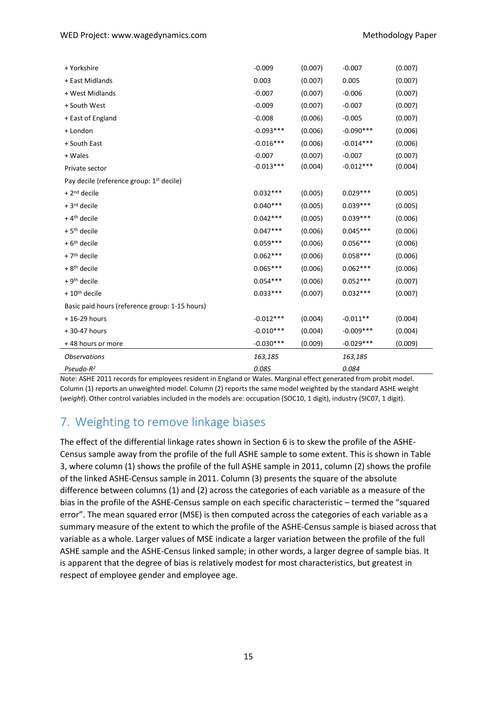| + Yorkshire                                          | $-0.009$    | (0.007) | $-0.007$    | (0.007) |
|------------------------------------------------------|-------------|---------|-------------|---------|
| + East Midlands                                      | 0.003       | (0.007) | 0.005       | (0.007) |
| + West Midlands                                      | $-0.007$    | (0.007) | $-0.006$    | (0.007) |
| + South West                                         | $-0.009$    | (0.007) | $-0.007$    | (0.007) |
| + East of England                                    | $-0.008$    | (0.006) | $-0.005$    | (0.007) |
| + London                                             | $-0.093***$ | (0.006) | $-0.090***$ | (0.006) |
| + South East                                         | $-0.016***$ | (0.006) | $-0.014***$ | (0.006) |
| + Wales                                              | $-0.007$    | (0.007) | $-0.007$    | (0.007) |
| Private sector                                       | $-0.013***$ | (0.004) | $-0.012***$ | (0.004) |
| Pay decile (reference group: 1 <sup>st</sup> decile) |             |         |             |         |
| $+2nd$ decile                                        | $0.032***$  | (0.005) | $0.029***$  | (0.005) |
| + 3rd decile                                         | $0.040***$  | (0.005) | $0.039***$  | (0.005) |
| $+4$ <sup>th</sup> decile                            | $0.042***$  | (0.005) | $0.039***$  | (0.006) |
| $+5$ <sup>th</sup> decile                            | $0.047***$  | (0.006) | $0.045***$  | (0.006) |
| $+6$ <sup>th</sup> decile                            | $0.059***$  | (0.006) | $0.056***$  | (0.006) |
| $+7$ <sup>th</sup> decile                            | $0.062***$  | (0.006) | $0.058***$  | (0.006) |
| $+8$ <sup>th</sup> decile                            | $0.065***$  | (0.006) | $0.062***$  | (0.006) |
| $+9th$ decile                                        | $0.054***$  | (0.006) | $0.052***$  | (0.007) |
| $+10th$ decile                                       | $0.033***$  | (0.007) | $0.032***$  | (0.007) |
| Basic paid hours (reference group: 1-15 hours)       |             |         |             |         |
| $+16-29$ hours                                       | $-0.012***$ | (0.004) | $-0.011**$  | (0.004) |
| +30-47 hours                                         | $-0.010***$ | (0.004) | $-0.009***$ | (0.004) |
| +48 hours or more                                    | $-0.030***$ | (0.009) | $-0.029***$ | (0.009) |
| <b>Observations</b>                                  | 163,185     |         | 163,185     |         |
| $Pseudo-R2$                                          | 0.085       |         | 0.084       |         |

Note: ASHE 2011 records for employees resident in England or Wales. Marginal effect generated from probit model. Column (1) reports an unweighted model. Column (2) reports the same model weighted by the standard ASHE weight (*weight*). Other control variables included in the models are: occupation (SOC10, 1 digit), industry (SIC07, 1 digit).

# <span id="page-14-0"></span>7. Weighting to remove linkage biases

The effect of the differential linkage rates shown in Section [6](#page-13-0) is to skew the profile of the ASHE-Census sample away from the profile of the full ASHE sample to some extent. This is shown in [Table](#page-15-0)  [3,](#page-15-0) where column (1) shows the profile of the full ASHE sample in 2011, column (2) shows the profile of the linked ASHE-Census sample in 2011. Column (3) presents the square of the absolute difference between columns (1) and (2) across the categories of each variable as a measure of the bias in the profile of the ASHE-Census sample on each specific characteristic – termed the "squared error". The mean squared error (MSE) is then computed across the categories of each variable as a summary measure of the extent to which the profile of the ASHE-Census sample is biased across that variable as a whole. Larger values of MSE indicate a larger variation between the profile of the full ASHE sample and the ASHE-Census linked sample; in other words, a larger degree of sample bias. It is apparent that the degree of bias is relatively modest for most characteristics, but greatest in respect of employee gender and employee age.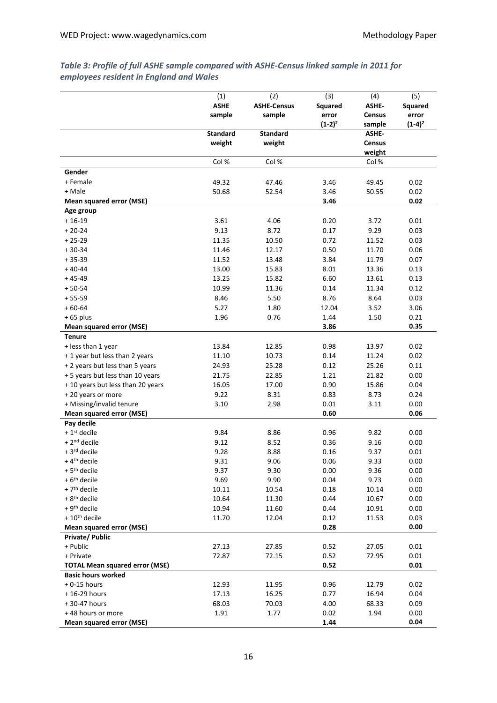|                                       | (1)             | (2)                | (3)            | (4)              | (5)            |
|---------------------------------------|-----------------|--------------------|----------------|------------------|----------------|
|                                       | <b>ASHE</b>     | <b>ASHE-Census</b> | <b>Squared</b> | ASHE-            | <b>Squared</b> |
|                                       | sample          | sample             | error          | <b>Census</b>    | error          |
|                                       |                 |                    | $(1-2)^2$      | sample           | $(1-4)^2$      |
|                                       | <b>Standard</b> | <b>Standard</b>    |                | ASHE-            |                |
|                                       | weight          | weight             |                | Census<br>weight |                |
|                                       | Col %           | Col %              |                | Col %            |                |
| Gender                                |                 |                    |                |                  |                |
| + Female                              | 49.32           | 47.46              | 3.46           | 49.45            | 0.02           |
| + Male                                | 50.68           | 52.54              | 3.46           | 50.55            | 0.02           |
| Mean squared error (MSE)              |                 |                    | 3.46           |                  | 0.02           |
| Age group                             |                 |                    |                |                  |                |
| $+16-19$                              | 3.61            | 4.06               | 0.20           | 3.72             | 0.01           |
| $+20-24$                              | 9.13            | 8.72               | 0.17           | 9.29             | 0.03           |
| $+25-29$                              | 11.35           | 10.50              | 0.72           | 11.52            | 0.03           |
| $+30-34$                              | 11.46           | 12.17              | 0.50           | 11.70            | 0.06           |
| $+35-39$                              | 11.52           | 13.48              | 3.84           | 11.79            | 0.07           |
| $+40-44$                              | 13.00           | 15.83              | 8.01           | 13.36            | 0.13           |
| $+45-49$                              | 13.25           | 15.82              | 6.60           | 13.61            | 0.13           |
| $+50-54$                              | 10.99           | 11.36              | 0.14           | 11.34            | 0.12           |
| $+55-59$                              | 8.46            | 5.50               | 8.76           | 8.64             | 0.03           |
| $+60-64$                              | 5.27            | 1.80               | 12.04          | 3.52             | 3.06           |
| $+65$ plus                            | 1.96            | 0.76               | 1.44           | 1.50             | 0.21           |
| Mean squared error (MSE)              |                 |                    | 3.86           |                  | 0.35           |
| <b>Tenure</b>                         |                 |                    |                |                  |                |
| + less than 1 year                    | 13.84           | 12.85              | 0.98           | 13.97            | 0.02           |
| + 1 year but less than 2 years        | 11.10           | 10.73              | 0.14           | 11.24            | 0.02           |
| + 2 years but less than 5 years       | 24.93           | 25.28              | 0.12           | 25.26            | 0.11           |
| + 5 years but less than 10 years      | 21.75           | 22.85              | 1.21           | 21.82            | 0.00           |
| + 10 years but less than 20 years     | 16.05           | 17.00              | 0.90           | 15.86            | 0.04           |
| +20 years or more                     | 9.22            | 8.31               | 0.83           | 8.73             | 0.24           |
| + Missing/invalid tenure              | 3.10            | 2.98               | 0.01           | 3.11             | 0.00           |
| Mean squared error (MSE)              |                 |                    | 0.60           |                  | 0.06           |
| Pay decile                            |                 |                    |                |                  |                |
| $+1$ <sup>st</sup> decile             | 9.84            | 8.86               | 0.96           | 9.82             | 0.00           |
| +2 <sup>nd</sup> decile               | 9.12            | 8.52               | 0.36           | 9.16             | 0.00           |
| + 3rd decile                          | 9.28            | 8.88               | 0.16           | 9.37             | 0.01           |
| $+4$ <sup>th</sup> decile             | 9.31            | 9.06               | 0.06           | 9.33             | 0.00           |
| + 5 <sup>th</sup> decile              | 9.37            | 9.30               | 0.00           | 9.36             | 0.00           |
| $+6$ <sup>th</sup> decile             | 9.69            | 9.90               | 0.04           | 9.73             | 0.00           |
| + 7 <sup>th</sup> decile              | 10.11           | 10.54              | 0.18           | 10.14            | 0.00           |
| $+8$ <sup>th</sup> decile             | 10.64           | 11.30              | 0.44           | 10.67            | 0.00           |
| $+9th$ decile                         | 10.94           | 11.60              | 0.44           | 10.91            | 0.00           |
| $+10$ <sup>th</sup> decile            | 11.70           | 12.04              | 0.12           | 11.53            | 0.03           |
| Mean squared error (MSE)              |                 |                    | 0.28           |                  | 0.00           |
| Private/ Public                       |                 |                    |                |                  |                |
| + Public<br>+ Private                 | 27.13<br>72.87  | 27.85<br>72.15     | 0.52<br>0.52   | 27.05<br>72.95   | 0.01<br>0.01   |
| <b>TOTAL Mean squared error (MSE)</b> |                 |                    | 0.52           |                  | 0.01           |
| <b>Basic hours worked</b>             |                 |                    |                |                  |                |
| $+0-15$ hours                         | 12.93           | 11.95              | 0.96           | 12.79            | 0.02           |
| +16-29 hours                          | 17.13           | 16.25              | 0.77           | 16.94            | 0.04           |
| +30-47 hours                          | 68.03           | 70.03              | 4.00           | 68.33            | 0.09           |
| +48 hours or more                     | 1.91            | 1.77               | 0.02           | 1.94             | 0.00           |
| Mean squared error (MSE)              |                 |                    | 1.44           |                  | 0.04           |

#### <span id="page-15-0"></span>*Table 3: Profile of full ASHE sample compared with ASHE-Census linked sample in 2011 for employees resident in England and Wales*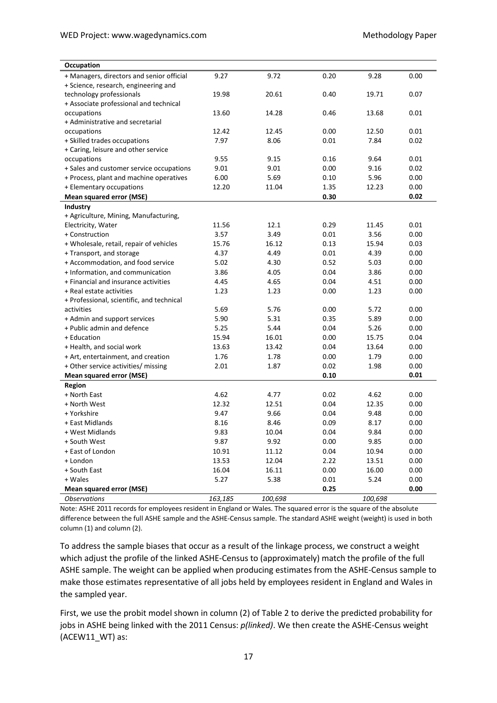| Occupation                                |         |         |          |         |      |
|-------------------------------------------|---------|---------|----------|---------|------|
| + Managers, directors and senior official | 9.27    | 9.72    | 0.20     | 9.28    | 0.00 |
| + Science, research, engineering and      |         |         |          |         |      |
| technology professionals                  | 19.98   | 20.61   | 0.40     | 19.71   | 0.07 |
| + Associate professional and technical    |         |         |          |         |      |
| occupations                               | 13.60   | 14.28   | 0.46     | 13.68   | 0.01 |
| + Administrative and secretarial          |         |         |          |         |      |
| occupations                               | 12.42   | 12.45   | 0.00     | 12.50   | 0.01 |
| + Skilled trades occupations              | 7.97    | 8.06    | 0.01     | 7.84    | 0.02 |
| + Caring, leisure and other service       |         |         |          |         |      |
| occupations                               | 9.55    | 9.15    | 0.16     | 9.64    | 0.01 |
| + Sales and customer service occupations  | 9.01    | 9.01    | 0.00     | 9.16    | 0.02 |
| + Process, plant and machine operatives   | 6.00    | 5.69    | 0.10     | 5.96    | 0.00 |
| + Elementary occupations                  | 12.20   | 11.04   | 1.35     | 12.23   | 0.00 |
| Mean squared error (MSE)                  |         |         | 0.30     |         | 0.02 |
| Industry                                  |         |         |          |         |      |
| + Agriculture, Mining, Manufacturing,     |         |         |          |         |      |
| Electricity, Water                        | 11.56   | 12.1    | 0.29     | 11.45   | 0.01 |
| + Construction                            | 3.57    | 3.49    | 0.01     | 3.56    | 0.00 |
| + Wholesale, retail, repair of vehicles   | 15.76   | 16.12   | 0.13     | 15.94   | 0.03 |
| + Transport, and storage                  | 4.37    | 4.49    | 0.01     | 4.39    | 0.00 |
| + Accommodation, and food service         | 5.02    | 4.30    | 0.52     | 5.03    | 0.00 |
| + Information, and communication          | 3.86    | 4.05    | 0.04     | 3.86    | 0.00 |
| + Financial and insurance activities      | 4.45    | 4.65    | 0.04     | 4.51    | 0.00 |
| + Real estate activities                  | 1.23    | 1.23    | 0.00     | 1.23    | 0.00 |
| + Professional, scientific, and technical |         |         |          |         |      |
| activities                                | 5.69    | 5.76    | 0.00     | 5.72    | 0.00 |
| + Admin and support services              | 5.90    | 5.31    | 0.35     | 5.89    | 0.00 |
| + Public admin and defence                | 5.25    | 5.44    | 0.04     | 5.26    | 0.00 |
| + Education                               | 15.94   | 16.01   | 0.00     | 15.75   | 0.04 |
| + Health, and social work                 | 13.63   | 13.42   | 0.04     | 13.64   | 0.00 |
| + Art, entertainment, and creation        | 1.76    | 1.78    | 0.00     | 1.79    | 0.00 |
| + Other service activities/ missing       | 2.01    | 1.87    | 0.02     | 1.98    | 0.00 |
| Mean squared error (MSE)                  |         |         | 0.10     |         | 0.01 |
| <b>Region</b>                             |         |         |          |         |      |
| + North East                              | 4.62    | 4.77    | 0.02     | 4.62    | 0.00 |
| + North West                              | 12.32   | 12.51   | 0.04     | 12.35   | 0.00 |
| + Yorkshire                               | 9.47    | 9.66    | 0.04     | 9.48    | 0.00 |
| + East Midlands                           | 8.16    | 8.46    | 0.09     | 8.17    | 0.00 |
| + West Midlands                           | 9.83    | 10.04   | 0.04     | 9.84    | 0.00 |
| + South West                              | 9.87    | 9.92    | 0.00     | 9.85    | 0.00 |
| + East of London                          | 10.91   | 11.12   | 0.04     | 10.94   | 0.00 |
| + London                                  | 13.53   | 12.04   | 2.22     | 13.51   | 0.00 |
| + South East                              | 16.04   | 16.11   | 0.00     | 16.00   | 0.00 |
| + Wales                                   | 5.27    | 5.38    | $0.01\,$ | 5.24    | 0.00 |
| Mean squared error (MSE)                  |         |         | 0.25     |         | 0.00 |
| <b>Observations</b>                       | 163,185 | 100,698 |          | 100,698 |      |

Note: ASHE 2011 records for employees resident in England or Wales. The squared error is the square of the absolute difference between the full ASHE sample and the ASHE-Census sample. The standard ASHE weight (weight) is used in both column (1) and column (2).

To address the sample biases that occur as a result of the linkage process, we construct a weight which adjust the profile of the linked ASHE-Census to (approximately) match the profile of the full ASHE sample. The weight can be applied when producing estimates from the ASHE-Census sample to make those estimates representative of all jobs held by employees resident in England and Wales in the sampled year.

First, we use the probit model shown in column (2) o[f Table 2](#page-13-1) to derive the predicted probability for jobs in ASHE being linked with the 2011 Census: *p(linked)*. We then create the ASHE-Census weight (ACEW11\_WT) as: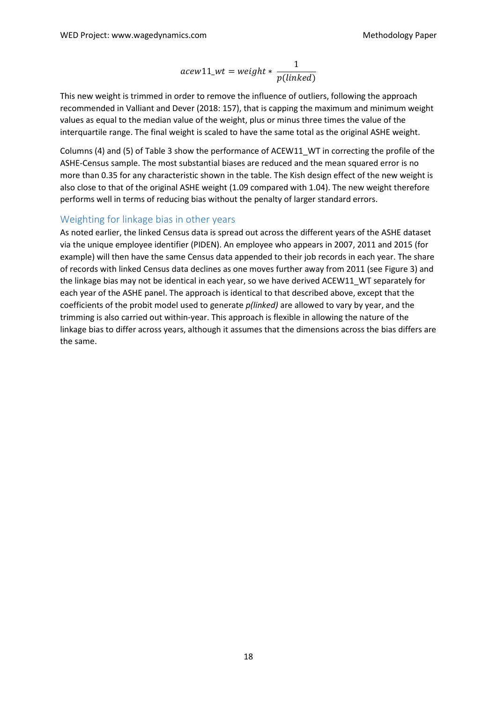$$
acew11\_wt = weight * \frac{1}{p(lineed)}
$$

This new weight is trimmed in order to remove the influence of outliers, following the approach recommended in Valliant and Dever (2018: 157), that is capping the maximum and minimum weight values as equal to the median value of the weight, plus or minus three times the value of the interquartile range. The final weight is scaled to have the same total as the original ASHE weight.

Columns (4) and (5) of [Table 3](#page-15-0) show the performance of ACEW11\_WT in correcting the profile of the ASHE-Census sample. The most substantial biases are reduced and the mean squared error is no more than 0.35 for any characteristic shown in the table. The Kish design effect of the new weight is also close to that of the original ASHE weight (1.09 compared with 1.04). The new weight therefore performs well in terms of reducing bias without the penalty of larger standard errors.

#### Weighting for linkage bias in other years

As noted earlier, the linked Census data is spread out across the different years of the ASHE dataset via the unique employee identifier (PIDEN). An employee who appears in 2007, 2011 and 2015 (for example) will then have the same Census data appended to their job records in each year. The share of records with linked Census data declines as one moves further away from 2011 (see [Figure 3\)](#page-18-0) and the linkage bias may not be identical in each year, so we have derived ACEW11\_WT separately for each year of the ASHE panel. The approach is identical to that described above, except that the coefficients of the probit model used to generate *p(linked)* are allowed to vary by year, and the trimming is also carried out within-year. This approach is flexible in allowing the nature of the linkage bias to differ across years, although it assumes that the dimensions across the bias differs are the same.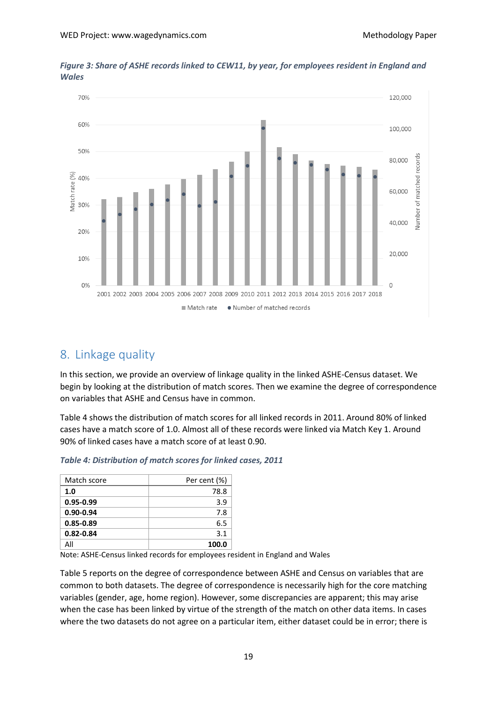

<span id="page-18-0"></span>*Figure 3: Share of ASHE records linked to CEW11, by year, for employees resident in England and Wales*

# <span id="page-18-1"></span>8. Linkage quality

In this section, we provide an overview of linkage quality in the linked ASHE-Census dataset. We begin by looking at the distribution of match scores. Then we examine the degree of correspondence on variables that ASHE and Census have in common.

[Table 4](#page-18-2) shows the distribution of match scores for all linked records in 2011. Around 80% of linked cases have a match score of 1.0. Almost all of these records were linked via Match Key 1. Around 90% of linked cases have a match score of at least 0.90.

| Match score   | Per cent (%) |
|---------------|--------------|
| 1.0           | 78.8         |
| $0.95 - 0.99$ | 3.9          |
| $0.90 - 0.94$ | 7.8          |
| $0.85 - 0.89$ | 6.5          |
| $0.82 - 0.84$ | 3.1          |
| Αll           | 100.0        |

<span id="page-18-2"></span>*Table 4: Distribution of match scores for linked cases, 2011*

Note: ASHE-Census linked records for employees resident in England and Wales

[Table 5](#page-19-1) reports on the degree of correspondence between ASHE and Census on variables that are common to both datasets. The degree of correspondence is necessarily high for the core matching variables (gender, age, home region). However, some discrepancies are apparent; this may arise when the case has been linked by virtue of the strength of the match on other data items. In cases where the two datasets do not agree on a particular item, either dataset could be in error; there is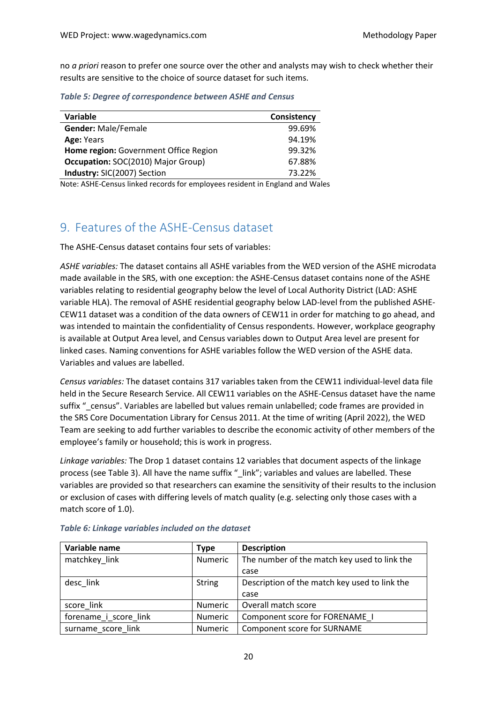no *a priori* reason to prefer one source over the other and analysts may wish to check whether their results are sensitive to the choice of source dataset for such items.

<span id="page-19-1"></span>*Table 5: Degree of correspondence between ASHE and Census*

| Variable                              | Consistency |
|---------------------------------------|-------------|
| <b>Gender: Male/Female</b>            | 99.69%      |
| Age: Years                            | 94.19%      |
| Home region: Government Office Region | 99.32%      |
| Occupation: SOC(2010) Major Group)    | 67.88%      |
| Industry: SIC(2007) Section           | 73.22%      |
|                                       |             |

Note: ASHE-Census linked records for employees resident in England and Wales

# <span id="page-19-0"></span>9. Features of the ASHE-Census dataset

The ASHE-Census dataset contains four sets of variables:

*ASHE variables:* The dataset contains all ASHE variables from the WED version of the ASHE microdata made available in the SRS, with one exception: the ASHE-Census dataset contains none of the ASHE variables relating to residential geography below the level of Local Authority District (LAD: ASHE variable HLA). The removal of ASHE residential geography below LAD-level from the published ASHE-CEW11 dataset was a condition of the data owners of CEW11 in order for matching to go ahead, and was intended to maintain the confidentiality of Census respondents. However, workplace geography is available at Output Area level, and Census variables down to Output Area level are present for linked cases. Naming conventions for ASHE variables follow the WED version of the ASHE data. Variables and values are labelled.

*Census variables:* The dataset contains 317 variables taken from the CEW11 individual-level data file held in the Secure Research Service. All CEW11 variables on the ASHE-Census dataset have the name suffix " census". Variables are labelled but values remain unlabelled; code frames are provided in the SRS Core Documentation Library for Census 2011. At the time of writing (April 2022), the WED Team are seeking to add further variables to describe the economic activity of other members of the employee's family or household; this is work in progress.

*Linkage variables:* The Drop 1 dataset contains 12 variables that document aspects of the linkage process (se[e Table 3\)](#page-19-2). All have the name suffix "\_link"; variables and values are labelled. These variables are provided so that researchers can examine the sensitivity of their results to the inclusion or exclusion of cases with differing levels of match quality (e.g. selecting only those cases with a match score of 1.0).

| Variable name         | Type           | <b>Description</b>                            |
|-----------------------|----------------|-----------------------------------------------|
| matchkey link         | Numeric        | The number of the match key used to link the  |
|                       |                | case                                          |
| desc link             | <b>String</b>  | Description of the match key used to link the |
|                       |                | case                                          |
| score link            | <b>Numeric</b> | Overall match score                           |
| forename i score link | <b>Numeric</b> | Component score for FORENAME I                |
| surname_score_link    | <b>Numeric</b> | Component score for SURNAME                   |

<span id="page-19-2"></span>

| Table 6: Linkage variables included on the dataset |  |  |  |  |
|----------------------------------------------------|--|--|--|--|
|----------------------------------------------------|--|--|--|--|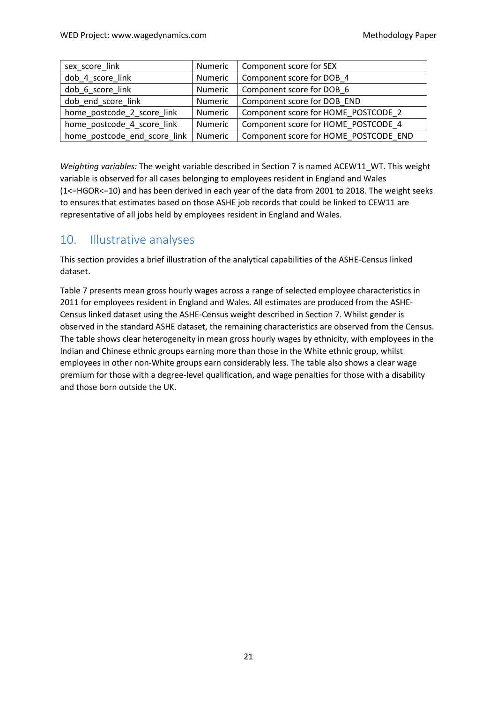| sex score link               | Numeric | Component score for SEX               |
|------------------------------|---------|---------------------------------------|
| dob 4 score link             | Numeric | Component score for DOB 4             |
| dob 6 score link             | Numeric | Component score for DOB 6             |
| dob_end_score_link           | Numeric | Component score for DOB END           |
| home_postcode_2_score_link   | Numeric | Component score for HOME POSTCODE 2   |
| home postcode 4 score link   | Numeric | Component score for HOME POSTCODE 4   |
| home postcode end score link | Numeric | Component score for HOME POSTCODE END |

*Weighting variables:* The weight variable described in Section [7](#page-14-0) is named ACEW11\_WT. This weight variable is observed for all cases belonging to employees resident in England and Wales (1<=HGOR<=10) and has been derived in each year of the data from 2001 to 2018. The weight seeks to ensures that estimates based on those ASHE job records that could be linked to CEW11 are representative of all jobs held by employees resident in England and Wales.

# 10. Illustrative analyses

This section provides a brief illustration of the analytical capabilities of the ASHE-Census linked dataset.

[Table 7](#page-21-0) presents mean gross hourly wages across a range of selected employee characteristics in 2011 for employees resident in England and Wales. All estimates are produced from the ASHE-Census linked dataset using the ASHE-Census weight described in Section [7.](#page-14-0) Whilst gender is observed in the standard ASHE dataset, the remaining characteristics are observed from the Census. The table shows clear heterogeneity in mean gross hourly wages by ethnicity, with employees in the Indian and Chinese ethnic groups earning more than those in the White ethnic group, whilst employees in other non-White groups earn considerably less. The table also shows a clear wage premium for those with a degree-level qualification, and wage penalties for those with a disability and those born outside the UK.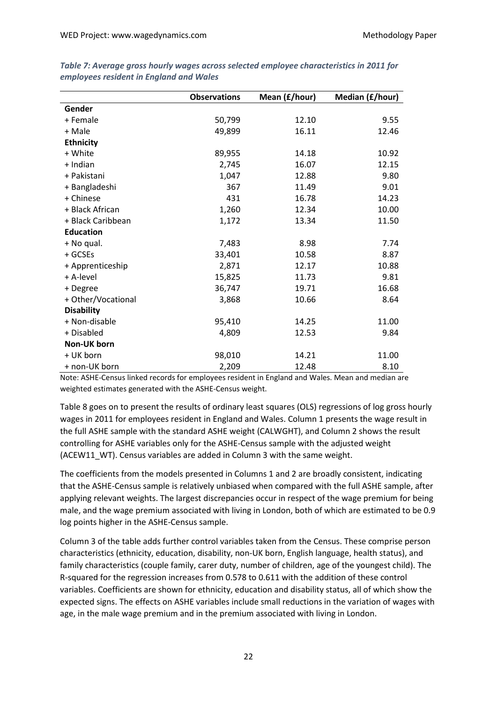|                    | <b>Observations</b> | Mean (£/hour) | Median (£/hour) |
|--------------------|---------------------|---------------|-----------------|
| Gender             |                     |               |                 |
| + Female           | 50,799              | 12.10         | 9.55            |
| + Male             | 49,899              | 16.11         | 12.46           |
| <b>Ethnicity</b>   |                     |               |                 |
| + White            | 89,955              | 14.18         | 10.92           |
| + Indian           | 2,745               | 16.07         | 12.15           |
| + Pakistani        | 1,047               | 12.88         | 9.80            |
| + Bangladeshi      | 367                 | 11.49         | 9.01            |
| + Chinese          | 431                 | 16.78         | 14.23           |
| + Black African    | 1,260               | 12.34         | 10.00           |
| + Black Caribbean  | 1,172               | 13.34         | 11.50           |
| <b>Education</b>   |                     |               |                 |
| + No qual.         | 7,483               | 8.98          | 7.74            |
| + GCSEs            | 33,401              | 10.58         | 8.87            |
| + Apprenticeship   | 2,871               | 12.17         | 10.88           |
| + A-level          | 15,825              | 11.73         | 9.81            |
| + Degree           | 36,747              | 19.71         | 16.68           |
| + Other/Vocational | 3,868               | 10.66         | 8.64            |
| <b>Disability</b>  |                     |               |                 |
| + Non-disable      | 95,410              | 14.25         | 11.00           |
| + Disabled         | 4,809               | 12.53         | 9.84            |
| Non-UK born        |                     |               |                 |
| + UK born          | 98,010              | 14.21         | 11.00           |
| + non-UK born      | 2,209               | 12.48         | 8.10            |

<span id="page-21-0"></span>*Table 7: Average gross hourly wages across selected employee characteristics in 2011 for employees resident in England and Wales*

Note: ASHE-Census linked records for employees resident in England and Wales. Mean and median are weighted estimates generated with the ASHE-Census weight.

[Table 8](#page-22-0) goes on to present the results of ordinary least squares (OLS) regressions of log gross hourly wages in 2011 for employees resident in England and Wales. Column 1 presents the wage result in the full ASHE sample with the standard ASHE weight (CALWGHT), and Column 2 shows the result controlling for ASHE variables only for the ASHE-Census sample with the adjusted weight (ACEW11\_WT). Census variables are added in Column 3 with the same weight.

The coefficients from the models presented in Columns 1 and 2 are broadly consistent, indicating that the ASHE-Census sample is relatively unbiased when compared with the full ASHE sample, after applying relevant weights. The largest discrepancies occur in respect of the wage premium for being male, and the wage premium associated with living in London, both of which are estimated to be 0.9 log points higher in the ASHE-Census sample.

Column 3 of the table adds further control variables taken from the Census. These comprise person characteristics (ethnicity, education, disability, non-UK born, English language, health status), and family characteristics (couple family, carer duty, number of children, age of the youngest child). The R-squared for the regression increases from 0.578 to 0.611 with the addition of these control variables. Coefficients are shown for ethnicity, education and disability status, all of which show the expected signs. The effects on ASHE variables include small reductions in the variation of wages with age, in the male wage premium and in the premium associated with living in London.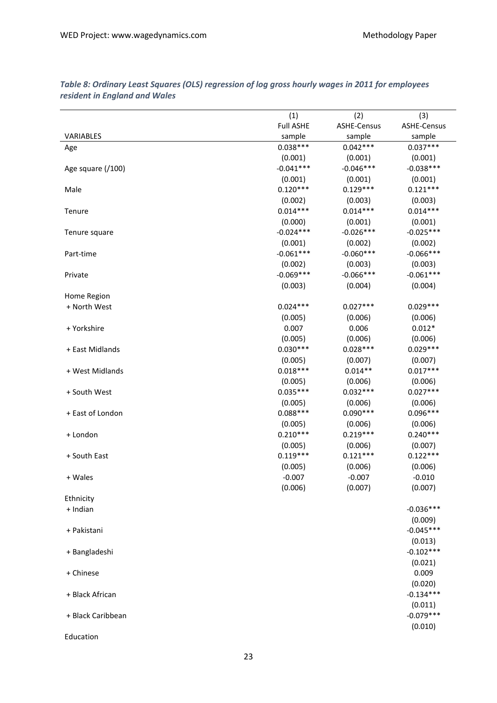|                   | (1)              | (2)                | (3)                |
|-------------------|------------------|--------------------|--------------------|
|                   | <b>Full ASHE</b> | <b>ASHE-Census</b> | <b>ASHE-Census</b> |
| VARIABLES         | sample           | sample             | sample             |
| Age               | $0.038***$       | $0.042***$         | $0.037***$         |
|                   | (0.001)          | (0.001)            | (0.001)            |
| Age square (/100) | $-0.041***$      | $-0.046***$        | $-0.038***$        |
|                   | (0.001)          | (0.001)            | (0.001)            |
| Male              | $0.120***$       | $0.129***$         | $0.121***$         |
|                   | (0.002)          | (0.003)            | (0.003)            |
| Tenure            | $0.014***$       | $0.014***$         | $0.014***$         |
|                   | (0.000)          | (0.001)            | (0.001)            |
| Tenure square     | $-0.024***$      | $-0.026***$        | $-0.025***$        |
|                   | (0.001)          | (0.002)            | (0.002)            |
| Part-time         | $-0.061***$      | $-0.060***$        | $-0.066***$        |
|                   | (0.002)          | (0.003)            | (0.003)            |
|                   | $-0.069***$      | $-0.066***$        | $-0.061***$        |
| Private           |                  |                    |                    |
|                   | (0.003)          | (0.004)            | (0.004)            |
| Home Region       |                  |                    |                    |
| + North West      | $0.024***$       | $0.027***$         | $0.029***$         |
|                   | (0.005)          | (0.006)            | (0.006)            |
| + Yorkshire       | 0.007            | 0.006              | $0.012*$           |
|                   | (0.005)          | (0.006)            | (0.006)            |
| + East Midlands   | $0.030***$       | $0.028***$         | $0.029***$         |
|                   | (0.005)          | (0.007)            | (0.007)            |
| + West Midlands   | $0.018***$       | $0.014**$          | $0.017***$         |
|                   | (0.005)          | (0.006)            | (0.006)            |
| + South West      | $0.035***$       | $0.032***$         | $0.027***$         |
|                   | (0.005)          | (0.006)            | (0.006)            |
| + East of London  | $0.088***$       | $0.090***$         | $0.096***$         |
|                   | (0.005)          | (0.006)            | (0.006)            |
| + London          | $0.210***$       | $0.219***$         | $0.240***$         |
|                   | (0.005)          | (0.006)            | (0.007)            |
| + South East      | $0.119***$       | $0.121***$         | $0.122***$         |
|                   | (0.005)          | (0.006)            | (0.006)            |
| + Wales           | $-0.007$         | $-0.007$           | $-0.010$           |
|                   | (0.006)          | (0.007)            | (0.007)            |
| Ethnicity         |                  |                    |                    |
| + Indian          |                  |                    | $-0.036***$        |
|                   |                  |                    | (0.009)            |
| + Pakistani       |                  |                    | $-0.045***$        |
|                   |                  |                    | (0.013)            |
| + Bangladeshi     |                  |                    | $-0.102***$        |
|                   |                  |                    | (0.021)            |
| + Chinese         |                  |                    | 0.009              |
|                   |                  |                    | (0.020)            |
| + Black African   |                  |                    | $-0.134***$        |
|                   |                  |                    | (0.011)            |
| + Black Caribbean |                  |                    | $-0.079***$        |
|                   |                  |                    |                    |
|                   |                  |                    | (0.010)            |
| Education         |                  |                    |                    |

#### <span id="page-22-0"></span>*Table 8: Ordinary Least Squares (OLS) regression of log gross hourly wages in 2011 for employees resident in England and Wales*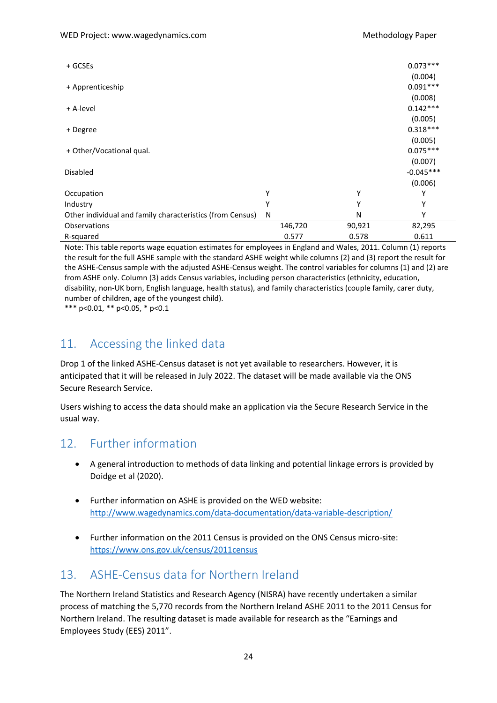| + GCSEs                                                   |         |        | $0.073***$<br>(0.004)             |
|-----------------------------------------------------------|---------|--------|-----------------------------------|
| + Apprenticeship                                          |         |        | $0.091***$<br>(0.008)             |
| + A-level                                                 |         |        | $0.142***$<br>(0.005)             |
| + Degree                                                  |         |        | $0.318***$                        |
| + Other/Vocational qual.                                  |         |        | (0.005)<br>$0.075***$             |
| <b>Disabled</b>                                           |         |        | (0.007)<br>$-0.045***$<br>(0.006) |
| Occupation                                                | Υ       | Υ      | Υ                                 |
| Industry                                                  | v       | Υ      | Υ                                 |
| Other individual and family characteristics (from Census) | N       | N      | γ                                 |
| Observations                                              | 146,720 | 90,921 | 82,295                            |
| R-squared                                                 | 0.577   | 0.578  | 0.611                             |

Note: This table reports wage equation estimates for employees in England and Wales, 2011. Column (1) reports the result for the full ASHE sample with the standard ASHE weight while columns (2) and (3) report the result for the ASHE-Census sample with the adjusted ASHE-Census weight. The control variables for columns (1) and (2) are from ASHE only. Column (3) adds Census variables, including person characteristics (ethnicity, education, disability, non-UK born, English language, health status), and family characteristics (couple family, carer duty, number of children, age of the youngest child).

\*\*\* p<0.01, \*\* p<0.05, \* p<0.1

# <span id="page-23-0"></span>11. Accessing the linked data

Drop 1 of the linked ASHE-Census dataset is not yet available to researchers. However, it is anticipated that it will be released in July 2022. The dataset will be made available via the ONS Secure Research Service.

Users wishing to access the data should make an application via the Secure Research Service in the usual way.

### <span id="page-23-1"></span>12. Further information

- A general introduction to methods of data linking and potential linkage errors is provided by Doidge et al (2020).
- Further information on ASHE is provided on the WED website: <http://www.wagedynamics.com/data-documentation/data-variable-description/>
- Further information on the 2011 Census is provided on the ONS Census micro-site: <https://www.ons.gov.uk/census/2011census>

# <span id="page-23-2"></span>13. ASHE-Census data for Northern Ireland

The Northern Ireland Statistics and Research Agency (NISRA) have recently undertaken a similar process of matching the 5,770 records from the Northern Ireland ASHE 2011 to the 2011 Census for Northern Ireland. The resulting dataset is made available for research as the "Earnings and Employees Study (EES) 2011".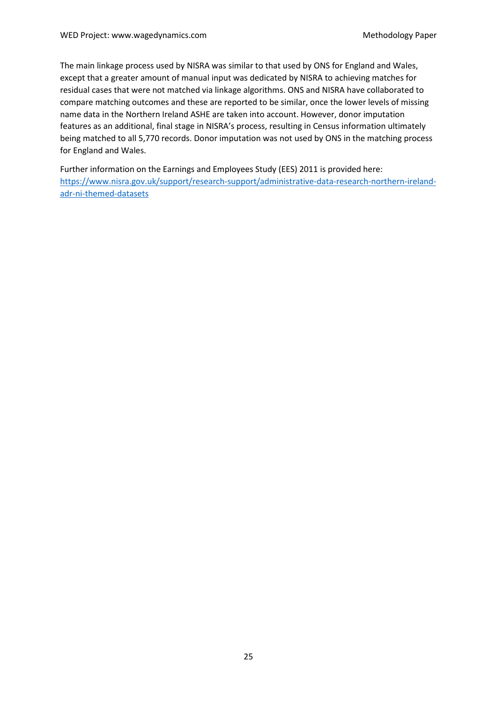The main linkage process used by NISRA was similar to that used by ONS for England and Wales, except that a greater amount of manual input was dedicated by NISRA to achieving matches for residual cases that were not matched via linkage algorithms. ONS and NISRA have collaborated to compare matching outcomes and these are reported to be similar, once the lower levels of missing name data in the Northern Ireland ASHE are taken into account. However, donor imputation features as an additional, final stage in NISRA's process, resulting in Census information ultimately being matched to all 5,770 records. Donor imputation was not used by ONS in the matching process for England and Wales.

<span id="page-24-0"></span>Further information on the Earnings and Employees Study (EES) 2011 is provided here: [https://www.nisra.gov.uk/support/research-support/administrative-data-research-northern-ireland](https://www.nisra.gov.uk/support/research-support/administrative-data-research-northern-ireland-adr-ni-themed-datasets)[adr-ni-themed-datasets](https://www.nisra.gov.uk/support/research-support/administrative-data-research-northern-ireland-adr-ni-themed-datasets)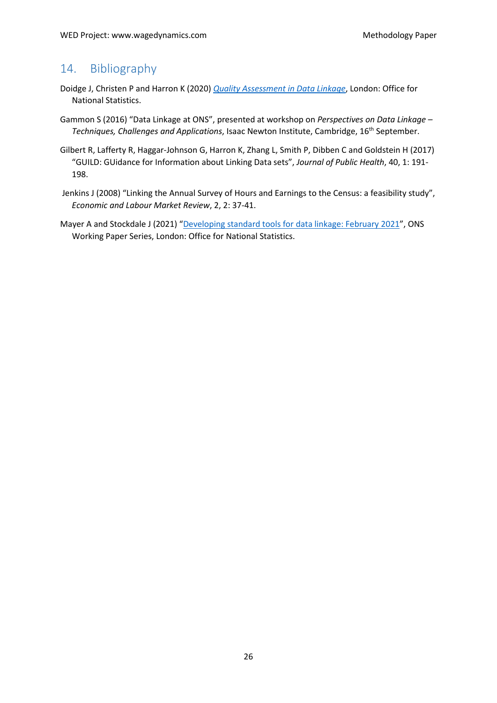# 14. Bibliography

- Doidge J, Christen P and Harron K (2020) *[Quality Assessment in Data Linkage](https://www.gov.uk/government/publications/joined-up-data-in-government-the-future-of-data-linking-methods/quality-assessment-in-data-linkage)*, London: Office for National Statistics.
- Gammon S (2016) "Data Linkage at ONS", presented at workshop on *Perspectives on Data Linkage – Techniques, Challenges and Applications*, Isaac Newton Institute, Cambridge, 16th September.
- Gilbert R, Lafferty R, Haggar-Johnson G, Harron K, Zhang L, Smith P, Dibben C and Goldstein H (2017) "GUILD: GUidance for Information about Linking Data sets", *Journal of Public Health*, 40, 1: 191- 198.
- Jenkins J (2008) "Linking the Annual Survey of Hours and Earnings to the Census: a feasibility study", *Economic and Labour Market Review*, 2, 2: 37-41.
- Mayer A and Stockdale J (2021) ["Developing standard tools for data linkage: February 2021"](https://www.ons.gov.uk/methodology/methodologicalpublications/generalmethodology/onsworkingpaperseries/developingstandardtoolsfordatalinkagefebruary2021), ONS Working Paper Series, London: Office for National Statistics.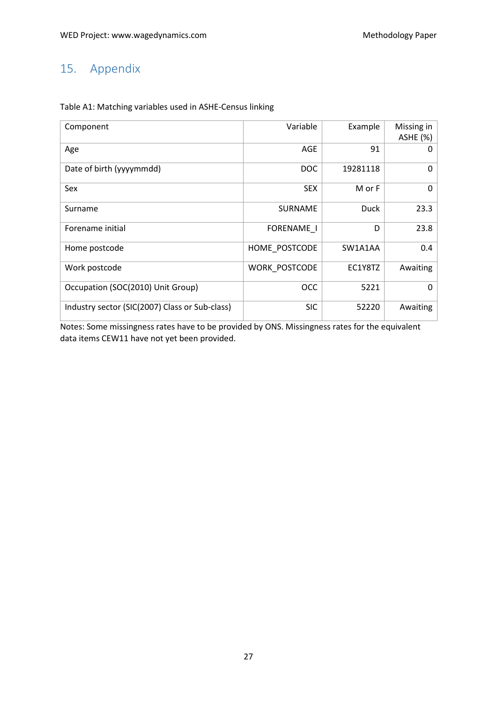# <span id="page-26-0"></span>15. Appendix

| Component                                      | Variable          | Example     | Missing in<br><b>ASHE (%)</b> |
|------------------------------------------------|-------------------|-------------|-------------------------------|
| Age                                            | AGE               | 91          | O                             |
| Date of birth (yyyymmdd)                       | <b>DOC</b>        | 19281118    | $\Omega$                      |
| Sex                                            | <b>SEX</b>        | M or F      | 0                             |
| Surname                                        | <b>SURNAME</b>    | <b>Duck</b> | 23.3                          |
| Forename initial                               | <b>FORENAME I</b> | D           | 23.8                          |
| Home postcode                                  | HOME POSTCODE     | SW1A1AA     | 0.4                           |
| Work postcode                                  | WORK POSTCODE     | EC1Y8TZ     | Awaiting                      |
| Occupation (SOC(2010) Unit Group)              | <b>OCC</b>        | 5221        | $\Omega$                      |
| Industry sector (SIC(2007) Class or Sub-class) | <b>SIC</b>        | 52220       | Awaiting                      |

#### Table A1: Matching variables used in ASHE-Census linking

Notes: Some missingness rates have to be provided by ONS. Missingness rates for the equivalent data items CEW11 have not yet been provided.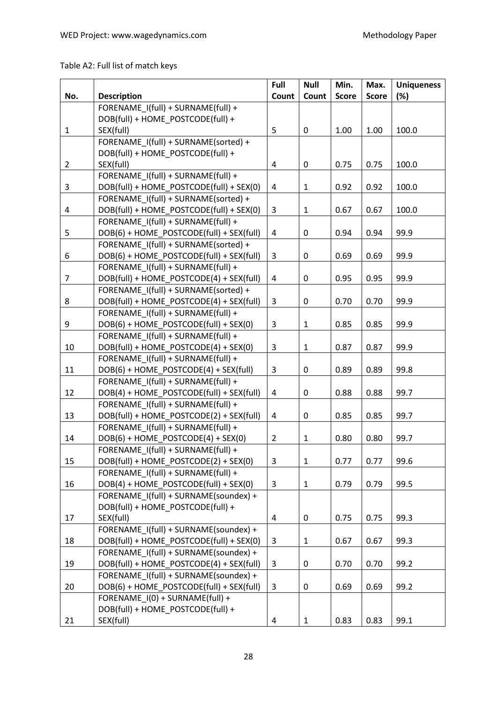Table A2: Full list of match keys

|                |                                          | Full                    | <b>Null</b>  | Min.         | Max.         | <b>Uniqueness</b> |
|----------------|------------------------------------------|-------------------------|--------------|--------------|--------------|-------------------|
| No.            | <b>Description</b>                       | Count                   | Count        | <b>Score</b> | <b>Score</b> | (%)               |
|                | FORENAME I(full) + SURNAME(full) +       |                         |              |              |              |                   |
|                | DOB(full) + HOME POSTCODE(full) +        |                         |              |              |              |                   |
| $\mathbf{1}$   | SEX(full)                                | 5                       | $\pmb{0}$    | 1.00         | 1.00         | 100.0             |
|                | FORENAME_I(full) + SURNAME(sorted) +     |                         |              |              |              |                   |
|                | DOB(full) + HOME_POSTCODE(full) +        |                         |              |              |              |                   |
| $\overline{2}$ | SEX(full)                                | $\overline{\mathbf{4}}$ | 0            | 0.75         | 0.75         | 100.0             |
|                | FORENAME I(full) + SURNAME(full) +       |                         |              |              |              |                   |
| 3              | DOB(full) + HOME_POSTCODE(full) + SEX(0) | $\overline{\mathbf{4}}$ | $\mathbf{1}$ | 0.92         | 0.92         | 100.0             |
|                | FORENAME I(full) + SURNAME(sorted) +     |                         |              |              |              |                   |
| 4              | DOB(full) + HOME_POSTCODE(full) + SEX(0) | 3                       | $\mathbf{1}$ | 0.67         | 0.67         | 100.0             |
|                | FORENAME I(full) + SURNAME(full) +       |                         |              |              |              |                   |
| 5              | DOB(6) + HOME POSTCODE(full) + SEX(full) | 4                       | $\pmb{0}$    | 0.94         | 0.94         | 99.9              |
|                | FORENAME I(full) + SURNAME(sorted) +     |                         |              |              |              |                   |
| 6              | DOB(6) + HOME_POSTCODE(full) + SEX(full) | 3                       | $\pmb{0}$    | 0.69         | 0.69         | 99.9              |
|                | FORENAME I(full) + SURNAME(full) +       |                         |              |              |              |                   |
| $\overline{7}$ | DOB(full) + HOME POSTCODE(4) + SEX(full) | $\pmb{4}$               | $\pmb{0}$    | 0.95         | 0.95         | 99.9              |
|                | FORENAME I(full) + SURNAME(sorted) +     |                         |              |              |              |                   |
| 8              | DOB(full) + HOME_POSTCODE(4) + SEX(full) | 3                       | 0            | 0.70         | 0.70         | 99.9              |
|                | FORENAME I(full) + SURNAME(full) +       |                         |              |              |              |                   |
| 9              | DOB(6) + HOME POSTCODE(full) + SEX(0)    | $\mathsf 3$             | $\mathbf{1}$ | 0.85         | 0.85         | 99.9              |
|                | FORENAME I(full) + SURNAME(full) +       |                         |              |              |              |                   |
| 10             | DOB(full) + HOME_POSTCODE(4) + SEX(0)    | 3                       | $\mathbf{1}$ | 0.87         | 0.87         | 99.9              |
|                | FORENAME I(full) + SURNAME(full) +       |                         |              |              |              |                   |
| 11             | DOB(6) + HOME_POSTCODE(4) + SEX(full)    | 3                       | $\pmb{0}$    | 0.89         | 0.89         | 99.8              |
|                | FORENAME_I(full) + SURNAME(full) +       |                         |              |              |              |                   |
| 12             | DOB(4) + HOME_POSTCODE(full) + SEX(full) | $\overline{4}$          | 0            | 0.88         | 0.88         | 99.7              |
|                | FORENAME I(full) + SURNAME(full) +       |                         |              |              |              |                   |
| 13             | DOB(full) + HOME_POSTCODE(2) + SEX(full) | $\pmb{4}$               | 0            | 0.85         | 0.85         | 99.7              |
|                | FORENAME I(full) + SURNAME(full) +       |                         |              |              |              |                   |
| 14             | DOB(6) + HOME_POSTCODE(4) + SEX(0)       | $\overline{2}$          | $\mathbf{1}$ | 0.80         | 0.80         | 99.7              |
|                | FORENAME_I(full) + SURNAME(full) +       |                         |              |              |              |                   |
| 15             | DOB(full) + HOME_POSTCODE(2) + SEX(0)    | 3                       | $\mathbf{1}$ | 0.77         | 0.77         | 99.6              |
|                | FORENAME I(full) + SURNAME(full) +       |                         |              |              |              |                   |
| 16             | DOB(4) + HOME_POSTCODE(full) + SEX(0)    | $\mathsf{3}$            | $\mathbf{1}$ | 0.79         | 0.79         | 99.5              |
|                | FORENAME I(full) + SURNAME(soundex) +    |                         |              |              |              |                   |
|                | DOB(full) + HOME POSTCODE(full) +        |                         |              |              |              |                   |
| 17             | SEX(full)                                | $\pmb{4}$               | $\pmb{0}$    | 0.75         | 0.75         | 99.3              |
|                | FORENAME I(full) + SURNAME(soundex) +    |                         |              |              |              |                   |
| 18             | DOB(full) + HOME POSTCODE(full) + SEX(0) | 3                       | $\mathbf{1}$ | 0.67         | 0.67         | 99.3              |
|                | FORENAME I(full) + SURNAME(soundex) +    |                         |              |              |              |                   |
| 19             | DOB(full) + HOME_POSTCODE(4) + SEX(full) | 3                       | $\pmb{0}$    | 0.70         | 0.70         | 99.2              |
|                | FORENAME I(full) + SURNAME(soundex) +    |                         |              |              |              |                   |
| 20             | DOB(6) + HOME_POSTCODE(full) + SEX(full) | 3                       | 0            | 0.69         | 0.69         | 99.2              |
|                | FORENAME I(0) + SURNAME(full) +          |                         |              |              |              |                   |
|                | DOB(full) + HOME_POSTCODE(full) +        |                         |              |              |              |                   |
| 21             | SEX(full)                                | 4                       | $\mathbf{1}$ | 0.83         | 0.83         | 99.1              |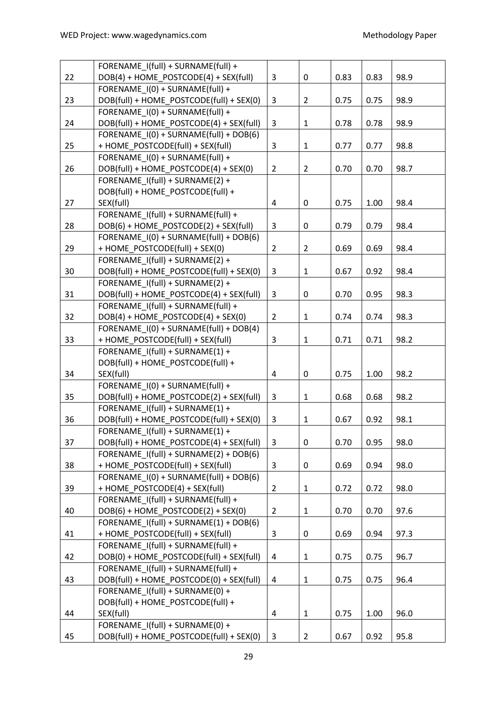|    | FORENAME I(full) + SURNAME(full) +       |                |                |      |      |      |
|----|------------------------------------------|----------------|----------------|------|------|------|
| 22 | DOB(4) + HOME POSTCODE(4) + SEX(full)    | $\overline{3}$ | $\pmb{0}$      | 0.83 | 0.83 | 98.9 |
|    | FORENAME I(0) + SURNAME(full) +          |                |                |      |      |      |
| 23 | DOB(full) + HOME_POSTCODE(full) + SEX(0) | 3              | $\overline{2}$ | 0.75 | 0.75 | 98.9 |
|    | FORENAME I(0) + SURNAME(full) +          |                |                |      |      |      |
| 24 | DOB(full) + HOME POSTCODE(4) + SEX(full) | 3              | $\mathbf{1}$   | 0.78 | 0.78 | 98.9 |
|    | FORENAME I(0) + SURNAME(full) + DOB(6)   |                |                |      |      |      |
| 25 | + HOME_POSTCODE(full) + SEX(full)        | 3              | $\mathbf{1}$   | 0.77 | 0.77 | 98.8 |
|    | FORENAME I(0) + SURNAME(full) +          |                |                |      |      |      |
| 26 | DOB(full) + HOME_POSTCODE(4) + SEX(0)    | $\overline{2}$ | $\overline{2}$ | 0.70 | 0.70 | 98.7 |
|    | FORENAME I(full) + SURNAME(2) +          |                |                |      |      |      |
|    | DOB(full) + HOME_POSTCODE(full) +        |                |                |      |      |      |
| 27 | SEX(full)                                | 4              | $\pmb{0}$      | 0.75 | 1.00 | 98.4 |
|    | FORENAME I(full) + SURNAME(full) +       |                |                |      |      |      |
| 28 | DOB(6) + HOME_POSTCODE(2) + SEX(full)    | 3              | $\mathbf 0$    | 0.79 | 0.79 | 98.4 |
|    | FORENAME I(0) + SURNAME(full) + DOB(6)   |                |                |      |      |      |
| 29 | + HOME_POSTCODE(full) + SEX(0)           | $\overline{2}$ | $\overline{2}$ | 0.69 | 0.69 | 98.4 |
|    | FORENAME I(full) + SURNAME(2) +          |                |                |      |      |      |
| 30 | DOB(full) + HOME POSTCODE(full) + SEX(0) | 3              | $\mathbf{1}$   | 0.67 | 0.92 | 98.4 |
|    | FORENAME I(full) + SURNAME(2) +          |                |                |      |      |      |
| 31 | DOB(full) + HOME_POSTCODE(4) + SEX(full) | 3              | $\mathbf 0$    | 0.70 | 0.95 | 98.3 |
|    | FORENAME I(full) + SURNAME(full) +       |                |                |      |      |      |
| 32 | DOB(4) + HOME_POSTCODE(4) + SEX(0)       | $\overline{2}$ | $\mathbf{1}$   | 0.74 | 0.74 | 98.3 |
|    | FORENAME I(0) + SURNAME(full) + DOB(4)   |                |                |      |      |      |
| 33 | + HOME_POSTCODE(full) + SEX(full)        | 3              | $\mathbf{1}$   | 0.71 | 0.71 | 98.2 |
|    | FORENAME I(full) + SURNAME(1) +          |                |                |      |      |      |
|    | DOB(full) + HOME_POSTCODE(full) +        |                |                |      |      |      |
| 34 | SEX(full)                                | 4              | $\pmb{0}$      | 0.75 | 1.00 | 98.2 |
|    | FORENAME I(0) + SURNAME(full) +          |                |                |      |      |      |
| 35 | DOB(full) + HOME_POSTCODE(2) + SEX(full) | 3              | $\mathbf{1}$   | 0.68 | 0.68 | 98.2 |
|    | FORENAME I(full) + SURNAME(1) +          |                |                |      |      |      |
| 36 | DOB(full) + HOME POSTCODE(full) + SEX(0) | 3              | $\mathbf{1}$   | 0.67 | 0.92 | 98.1 |
|    | FORENAME_I(full) + SURNAME(1) +          |                |                |      |      |      |
| 37 | DOB(full) + HOME_POSTCODE(4) + SEX(full) | 3              | $\pmb{0}$      | 0.70 | 0.95 | 98.0 |
|    | FORENAME I(full) + SURNAME(2) + DOB(6)   |                |                |      |      |      |
| 38 | + HOME POSTCODE(full) + SEX(full)        | 3              | 0              | 0.69 | 0.94 | 98.0 |
|    | FORENAME I(0) + SURNAME(full) + DOB(6)   |                |                |      |      |      |
| 39 | + HOME_POSTCODE(4) + SEX(full)           | $\overline{2}$ | $\mathbf{1}$   | 0.72 | 0.72 | 98.0 |
|    | FORENAME I(full) + SURNAME(full) +       |                |                |      |      |      |
| 40 | DOB(6) + HOME_POSTCODE(2) + SEX(0)       | $\overline{2}$ | $\mathbf{1}$   | 0.70 | 0.70 | 97.6 |
|    | FORENAME I(full) + SURNAME(1) + DOB(6)   |                |                |      |      |      |
| 41 | + HOME POSTCODE(full) + SEX(full)        | 3              | $\pmb{0}$      | 0.69 | 0.94 | 97.3 |
|    | FORENAME I(full) + SURNAME(full) +       |                |                |      |      |      |
| 42 | DOB(0) + HOME POSTCODE(full) + SEX(full) | 4              | $\mathbf{1}$   | 0.75 | 0.75 | 96.7 |
|    | FORENAME I(full) + SURNAME(full) +       |                |                |      |      |      |
| 43 | DOB(full) + HOME_POSTCODE(0) + SEX(full) | 4              | $\mathbf{1}$   | 0.75 | 0.75 | 96.4 |
|    | FORENAME I(full) + SURNAME(0) +          |                |                |      |      |      |
|    | DOB(full) + HOME_POSTCODE(full) +        |                |                |      |      |      |
| 44 | SEX(full)                                | 4              | $\mathbf 1$    | 0.75 | 1.00 | 96.0 |
|    | FORENAME I(full) + SURNAME(0) +          |                |                |      |      |      |
| 45 | DOB(full) + HOME_POSTCODE(full) + SEX(0) | 3              | $\overline{2}$ | 0.67 | 0.92 | 95.8 |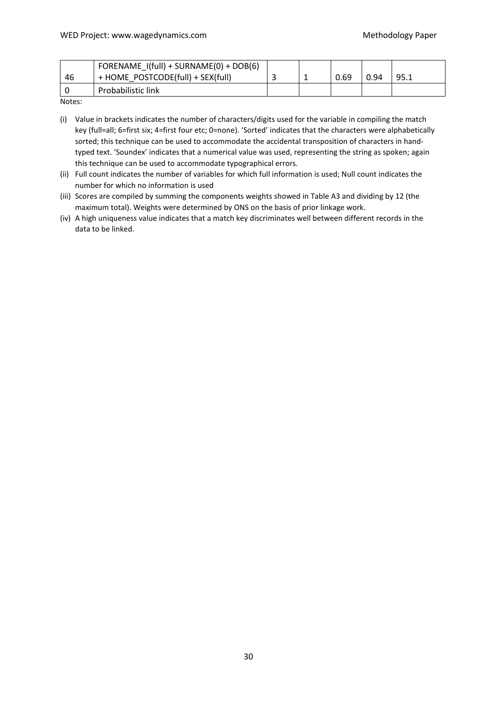|    | FORENAME I(full) + SURNAME(0) + DOB(6) |  |      |      |      |
|----|----------------------------------------|--|------|------|------|
| 46 | + HOME POSTCODE(full) + SEX(full)      |  | 0.69 | 0.94 | 95.1 |
|    | <b>Probabilistic link</b>              |  |      |      |      |

Notes:

(i) Value in brackets indicates the number of characters/digits used for the variable in compiling the match key (full=all; 6=first six; 4=first four etc; 0=none). 'Sorted' indicates that the characters were alphabetically sorted; this technique can be used to accommodate the accidental transposition of characters in handtyped text. 'Soundex' indicates that a numerical value was used, representing the string as spoken; again this technique can be used to accommodate typographical errors.

(ii) Full count indicates the number of variables for which full information is used; Null count indicates the number for which no information is used

(iii) Scores are compiled by summing the components weights showed in Table A3 and dividing by 12 (the maximum total). Weights were determined by ONS on the basis of prior linkage work.

(iv) A high uniqueness value indicates that a match key discriminates well between different records in the data to be linked.